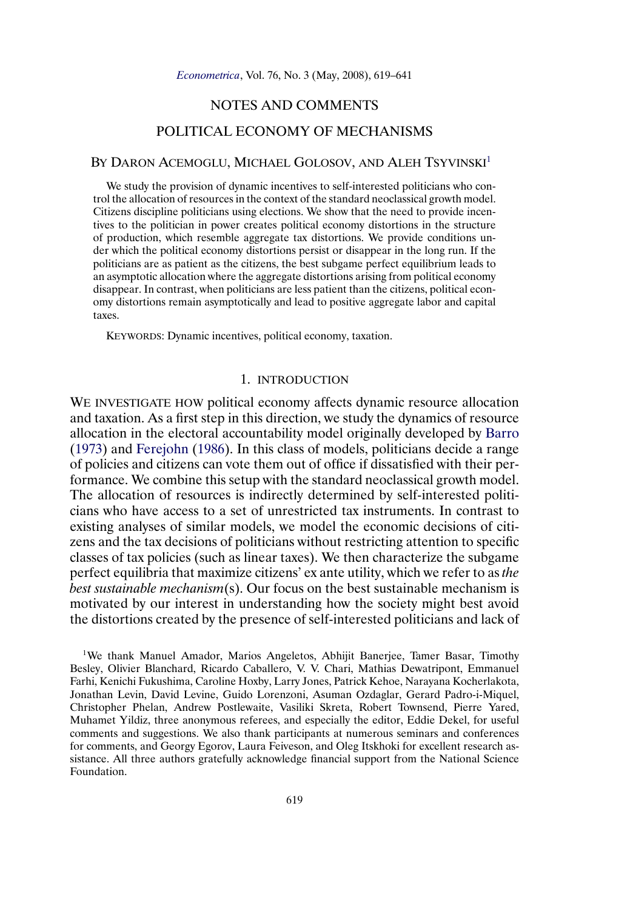# NOTES AND COMMENTS

# POLITICAL ECONOMY OF MECHANISMS

## <span id="page-0-0"></span>BY DARON ACEMOGLU, MICHAEL GOLOSOV, AND ALEH TSYVINSKI<sup>1</sup>

We study the provision of dynamic incentives to self-interested politicians who control the allocation of resources in the context of the standard neoclassical growth model. Citizens discipline politicians using elections. We show that the need to provide incentives to the politician in power creates political economy distortions in the structure of production, which resemble aggregate tax distortions. We provide conditions under which the political economy distortions persist or disappear in the long run. If the politicians are as patient as the citizens, the best subgame perfect equilibrium leads to an asymptotic allocation where the aggregate distortions arising from political economy disappear. In contrast, when politicians are less patient than the citizens, political economy distortions remain asymptotically and lead to positive aggregate labor and capital taxes.

KEYWORDS: Dynamic incentives, political economy, taxation.

### 1. INTRODUCTION

WE INVESTIGATE HOW political economy affects dynamic resource allocation and taxation. As a first step in this direction, we study the dynamics of resource allocation in the electoral accountability model originally developed by [Barro](#page-21-0) [\(1973\)](#page-21-0) and [Ferejohn](#page-22-0) [\(1986\)](#page-22-0). In this class of models, politicians decide a range of policies and citizens can vote them out of office if dissatisfied with their performance. We combine this setup with the standard neoclassical growth model. The allocation of resources is indirectly determined by self-interested politicians who have access to a set of unrestricted tax instruments. In contrast to existing analyses of similar models, we model the economic decisions of citizens and the tax decisions of politicians without restricting attention to specific classes of tax policies (such as linear taxes). We then characterize the subgame perfect equilibria that maximize citizens' ex ante utility, which we refer to as *the best sustainable mechanism*(s). Our focus on the best sustainable mechanism is motivated by our interest in understanding how the society might best avoid the distortions created by the presence of self-interested politicians and lack of

1We thank Manuel Amador, Marios Angeletos, Abhijit Banerjee, Tamer Basar, Timothy Besley, Olivier Blanchard, Ricardo Caballero, V. V. Chari, Mathias Dewatripont, Emmanuel Farhi, Kenichi Fukushima, Caroline Hoxby, Larry Jones, Patrick Kehoe, Narayana Kocherlakota, Jonathan Levin, David Levine, Guido Lorenzoni, Asuman Ozdaglar, Gerard Padro-i-Miquel, Christopher Phelan, Andrew Postlewaite, Vasiliki Skreta, Robert Townsend, Pierre Yared, Muhamet Yildiz, three anonymous referees, and especially the editor, Eddie Dekel, for useful comments and suggestions. We also thank participants at numerous seminars and conferences for comments, and Georgy Egorov, Laura Feiveson, and Oleg Itskhoki for excellent research assistance. All three authors gratefully acknowledge financial support from the National Science Foundation.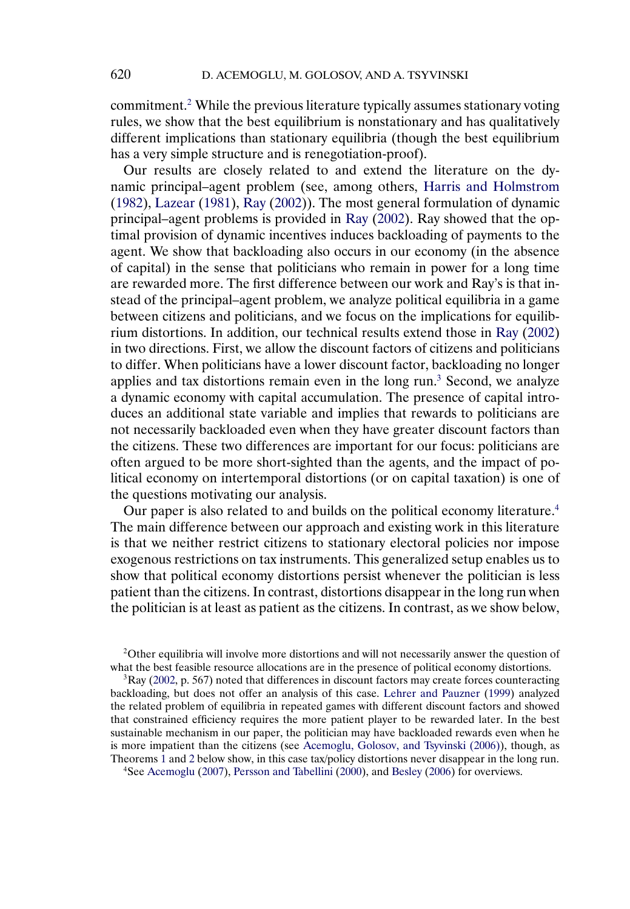<span id="page-1-0"></span>commitment.2 While the previous literature typically assumes stationary voting rules, we show that the best equilibrium is nonstationary and has qualitatively different implications than stationary equilibria (though the best equilibrium has a very simple structure and is renegotiation-proof).

Our results are closely related to and extend the literature on the dynamic principal–agent problem (see, among others, [Harris and Holmstrom](#page-22-0) [\(1982\)](#page-22-0), [Lazear](#page-22-0) [\(1981\)](#page-22-0), [Ray](#page-22-0) [\(2002\)](#page-22-0)). The most general formulation of dynamic principal–agent problems is provided in [Ray](#page-22-0) [\(2002\)](#page-22-0). Ray showed that the optimal provision of dynamic incentives induces backloading of payments to the agent. We show that backloading also occurs in our economy (in the absence of capital) in the sense that politicians who remain in power for a long time are rewarded more. The first difference between our work and Ray's is that instead of the principal–agent problem, we analyze political equilibria in a game between citizens and politicians, and we focus on the implications for equilibrium distortions. In addition, our technical results extend those in [Ray](#page-22-0) [\(2002\)](#page-22-0) in two directions. First, we allow the discount factors of citizens and politicians to differ. When politicians have a lower discount factor, backloading no longer applies and tax distortions remain even in the long run.3 Second, we analyze a dynamic economy with capital accumulation. The presence of capital introduces an additional state variable and implies that rewards to politicians are not necessarily backloaded even when they have greater discount factors than the citizens. These two differences are important for our focus: politicians are often argued to be more short-sighted than the agents, and the impact of political economy on intertemporal distortions (or on capital taxation) is one of the questions motivating our analysis.

Our paper is also related to and builds on the political economy literature.<sup>4</sup> The main difference between our approach and existing work in this literature is that we neither restrict citizens to stationary electoral policies nor impose exogenous restrictions on tax instruments. This generalized setup enables us to show that political economy distortions persist whenever the politician is less patient than the citizens. In contrast, distortions disappear in the long run when the politician is at least as patient as the citizens. In contrast, as we show below,

4See [Acemoglu](#page-21-0) [\(2007\)](#page-21-0), [Persson and Tabellini](#page-22-0) [\(2000\)](#page-22-0), and [Besley](#page-22-0) [\(2006\)](#page-22-0) for overviews.

<sup>&</sup>lt;sup>2</sup>Other equilibria will involve more distortions and will not necessarily answer the question of what the best feasible resource allocations are in the presence of political economy distortions.

 ${}^{3}$ Ray [\(2002,](#page-22-0) p. 567) noted that differences in discount factors may create forces counteracting backloading, but does not offer an analysis of this case. [Lehrer and Pauzner](#page-22-0) [\(1999\)](#page-22-0) analyzed the related problem of equilibria in repeated games with different discount factors and showed that constrained efficiency requires the more patient player to be rewarded later. In the best sustainable mechanism in our paper, the politician may have backloaded rewards even when he is more impatient than the citizens (see [Acemoglu, Golosov, and Tsyvinski \(2006\)\)](#page-21-0), though, as Theorems [1](#page-8-0) and [2](#page-11-0) below show, in this case tax/policy distortions never disappear in the long run.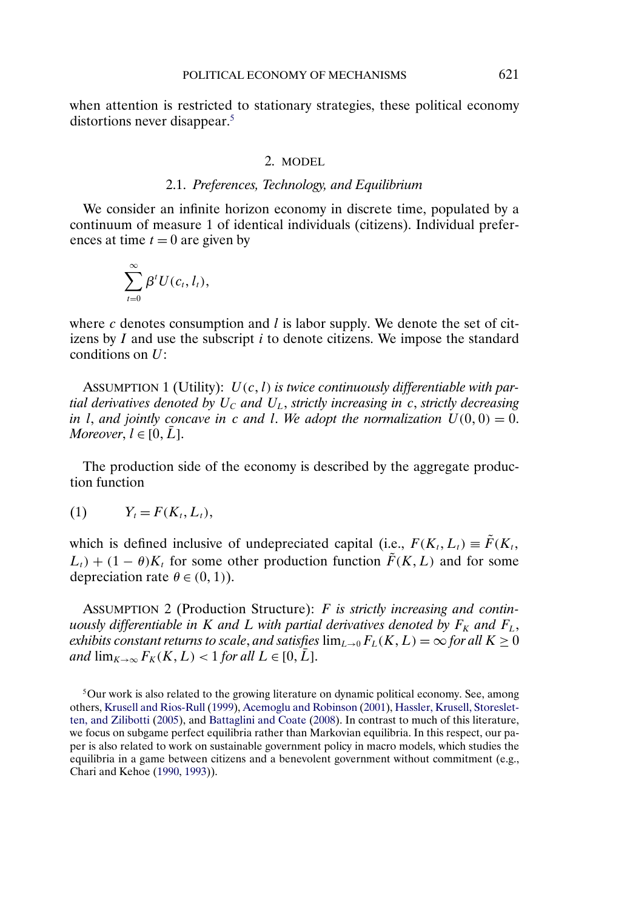<span id="page-2-0"></span>when attention is restricted to stationary strategies, these political economy distortions never disappear.<sup>5</sup>

## 2. MODEL

# 2.1. *Preferences, Technology, and Equilibrium*

We consider an infinite horizon economy in discrete time, populated by a continuum of measure 1 of identical individuals (citizens). Individual preferences at time  $t = 0$  are given by

$$
\sum_{t=0}^{\infty}\beta^tU(c_t,l_t),
$$

where c denotes consumption and  $l$  is labor supply. We denote the set of citizens by  $I$  and use the subscript  $i$  to denote citizens. We impose the standard conditions on U:

ASSUMPTION 1 (Utility):  $U(c, l)$  *is twice continuously differentiable with partial derivatives denoted by*  $U_c$  *and*  $U_L$ , *strictly increasing in c*, *strictly decreasing in* l, and jointly concave in c and l. We adopt the normalization  $U(0,0) = 0$ . *Moreover*,  $l \in [0, L]$ .

The production side of the economy is described by the aggregate production function

$$
(1) \t Yt = F(Kt, Lt),
$$

which is defined inclusive of undepreciated capital (i.e.,  $F(K_t, L_t) \equiv \tilde{F}(K_t,$  $L_t$ ) + (1 –  $\theta$ ) $K_t$  for some other production function  $\tilde{F}(K, L)$  and for some depreciation rate  $\theta \in (0, 1)$ ).

ASSUMPTION 2 (Production Structure): F *is strictly increasing and continuously differentiable in* K *and* L *with partial derivatives denoted by*  $F_K$  *and*  $F_L$ , *exhibits constant returns to scale, and satisfies*  $\lim_{L\to 0} F_L(K, L) = \infty$  *for all*  $K \geq 0$ *and*  $\lim_{K\to\infty} F_K(K,L) < 1$  *for all*  $L \in [0,\bar{L}]$ .

<sup>5</sup>Our work is also related to the growing literature on dynamic political economy. See, among others, [Krusell and Rios-Rull](#page-22-0) [\(1999\)](#page-22-0), [Acemoglu and Robinson](#page-21-0) [\(2001\)](#page-21-0), [Hassler, Krusell, Storeslet](#page-22-0)[ten, and Zilibotti](#page-22-0) [\(2005\)](#page-22-0), and [Battaglini and Coate](#page-22-0) [\(2008\)](#page-22-0). In contrast to much of this literature, we focus on subgame perfect equilibria rather than Markovian equilibria. In this respect, our paper is also related to work on sustainable government policy in macro models, which studies the equilibria in a game between citizens and a benevolent government without commitment (e.g., Chari and Kehoe [\(1990,](#page-22-0) [1993\)](#page-22-0)).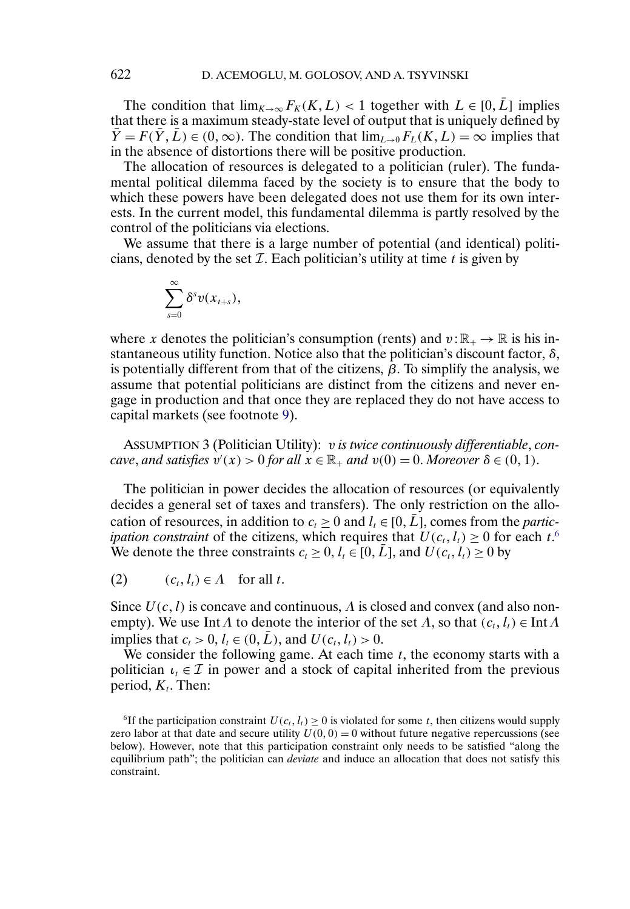The condition that  $\lim_{K\to\infty} F_K(K, L) < 1$  together with  $L \in [0, \bar{L}]$  implies that there is a maximum steady-state level of output that is uniquely defined by  $\overline{Y} = F(\overline{Y}, \overline{L}) \in (0, \infty)$ . The condition that  $\lim_{L\to 0} F_L(K, L) = \infty$  implies that in the absence of distortions there will be positive production.

The allocation of resources is delegated to a politician (ruler). The fundamental political dilemma faced by the society is to ensure that the body to which these powers have been delegated does not use them for its own interests. In the current model, this fundamental dilemma is partly resolved by the control of the politicians via elections.

We assume that there is a large number of potential (and identical) politicians, denoted by the set  $\mathcal I$ . Each politician's utility at time  $t$  is given by

$$
\sum_{s=0}^{\infty}\delta^s v(x_{t+s}),
$$

where x denotes the politician's consumption (rents) and  $v : \mathbb{R}_+ \to \mathbb{R}$  is his instantaneous utility function. Notice also that the politician's discount factor,  $\delta$ , is potentially different from that of the citizens,  $\beta$ . To simplify the analysis, we assume that potential politicians are distinct from the citizens and never engage in production and that once they are replaced they do not have access to capital markets (see footnote [9\)](#page-5-0).

ASSUMPTION 3 (Politician Utility): v *is twice continuously differentiable*, *concave, and satisfies*  $v'(x) > 0$  *for all*  $x \in \mathbb{R}_+$  *and*  $v(0) = 0$ *. Moreover*  $\delta \in (0, 1)$ *.* 

The politician in power decides the allocation of resources (or equivalently decides a general set of taxes and transfers). The only restriction on the allocation of resources, in addition to  $c_t \geq 0$  and  $l_t \in [0, L]$ , comes from the *participation constraint* of the citizens, which requires that  $U(c_t, l_t) \geq 0$  for each  $t$ .<sup>6</sup> We denote the three constraints  $c_t \geq 0$ ,  $l_t \in [0, \bar{L}]$ , and  $U(c_t, l_t) \geq 0$  by

(2)  $(c_t, l_t) \in \Lambda$  for all t.

Since  $U(c, l)$  is concave and continuous,  $\Lambda$  is closed and convex (and also nonempty). We use Int  $\Lambda$  to denote the interior of the set  $\Lambda$ , so that  $(c_t, l_t) \in \text{Int } \Lambda$ implies that  $c_t > 0$ ,  $l_t \in (0, L)$ , and  $U(c_t, l_t) > 0$ .

We consider the following game. At each time  $t$ , the economy starts with a politician  $\iota_t \in \mathcal{I}$  in power and a stock of capital inherited from the previous period,  $K_t$ . Then:

<span id="page-3-0"></span>

<sup>&</sup>lt;sup>6</sup>If the participation constraint  $U(c_t, l_t) \ge 0$  is violated for some t, then citizens would supply zero labor at that date and secure utility  $U(0, 0) = 0$  without future negative repercussions (see below). However, note that this participation constraint only needs to be satisfied "along the equilibrium path"; the politician can *deviate* and induce an allocation that does not satisfy this constraint.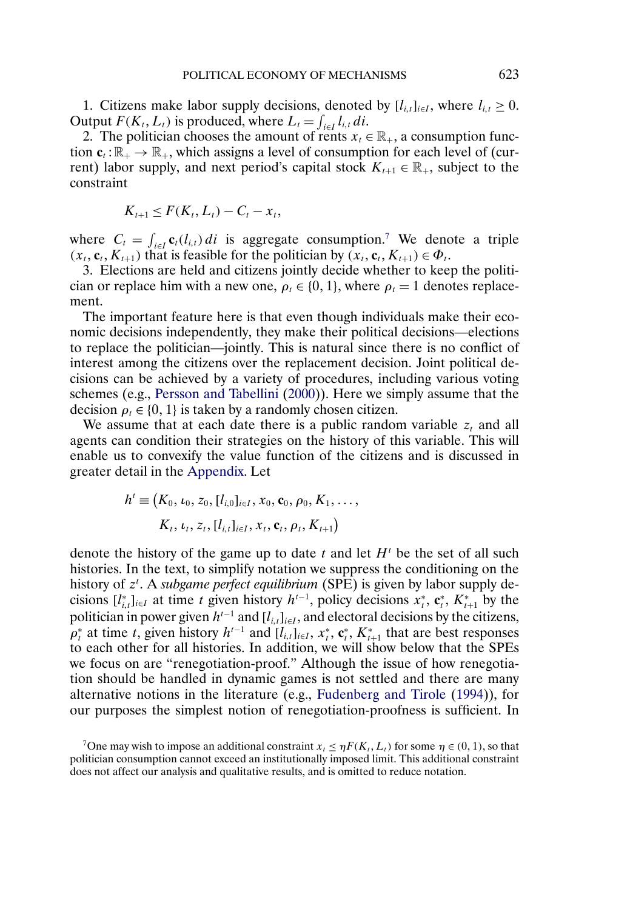<span id="page-4-0"></span>1. Citizens make labor supply decisions, denoted by  $[l_{i,t}]_{i\in I}$ , where  $l_{i,t} \geq 0$ . Output  $F(K_t, L_t)$  is produced, where  $L_t = \int_{i \in I} l_{i,t} dt$ .

2. The politician chooses the amount of rents  $x_t \in \mathbb{R}_+$ , a consumption function  $c_t : \mathbb{R}_+ \to \mathbb{R}_+$ , which assigns a level of consumption for each level of (current) labor supply, and next period's capital stock  $K_{t+1} \in \mathbb{R}_+$ , subject to the constraint

$$
K_{t+1} \leq F(K_t, L_t) - C_t - x_t,
$$

where  $C_t = \int_{i \in I} \mathbf{c}_t(l_{i,t}) di$  is aggregate consumption.<sup>7</sup> We denote a triple  $(x_t, \mathbf{c}_t, K_{t+1})$  that is feasible for the politician by  $(x_t, \mathbf{c}_t, K_{t+1}) \in \Phi_t$ .

3. Elections are held and citizens jointly decide whether to keep the politician or replace him with a new one,  $\rho_t \in \{0, 1\}$ , where  $\rho_t = 1$  denotes replacement.

The important feature here is that even though individuals make their economic decisions independently, they make their political decisions—elections to replace the politician—jointly. This is natural since there is no conflict of interest among the citizens over the replacement decision. Joint political decisions can be achieved by a variety of procedures, including various voting schemes (e.g., [Persson and Tabellini](#page-22-0) [\(2000\)](#page-22-0)). Here we simply assume that the decision  $\rho_t \in \{0, 1\}$  is taken by a randomly chosen citizen.

We assume that at each date there is a public random variable  $z_t$  and all agents can condition their strategies on the history of this variable. This will enable us to convexify the value function of the citizens and is discussed in greater detail in the [Appendix.](#page-14-0) Let

$$
h' \equiv (K_0, \iota_0, z_0, [l_{i,0}]_{i \in I}, x_0, \mathbf{c}_0, \rho_0, K_1, \ldots, K_t, \iota_t, z_t, [l_{i,t}]_{i \in I}, x_t, \mathbf{c}_t, \rho_t, K_{t+1})
$$

denote the history of the game up to date t and let  $H<sup>t</sup>$  be the set of all such histories. In the text, to simplify notation we suppress the conditioning on the history of z<sup>t</sup>. A *subgame perfect equilibrium* (SPE) is given by labor supply decisions  $[l_{i,t}^*]_{i\in I}$  at time t given history  $h^{t-1}$ , policy decisions  $x_t^*, c_t^*, K_{t+1}^*$  by the politician in power given  $h^{t-1}$  and  $[l_{i,t}]_{i\in I}$ , and electoral decisions by the citizens,  $\rho_t^*$  at time t, given history  $h^{t-1}$  and  $[l_{i,t}]_{i\in I}$ ,  $x_t^*, \mathbf{c}_t^*, K_{t+1}^*$  that are best responses to each other for all histories. In addition, we will show below that the SPEs we focus on are "renegotiation-proof." Although the issue of how renegotiation should be handled in dynamic games is not settled and there are many alternative notions in the literature (e.g., [Fudenberg and Tirole](#page-22-0) [\(1994\)](#page-22-0)), for our purposes the simplest notion of renegotiation-proofness is sufficient. In

<sup>7</sup> One may wish to impose an additional constraint  $x_t \leq \eta F(K_t, L_t)$  for some  $\eta \in (0, 1)$ , so that politician consumption cannot exceed an institutionally imposed limit. This additional constraint does not affect our analysis and qualitative results, and is omitted to reduce notation.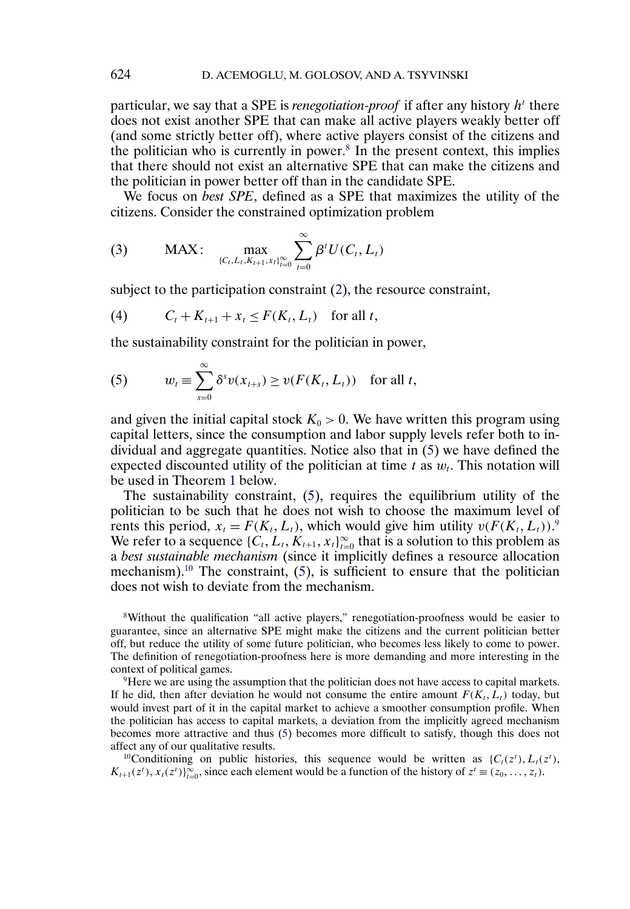particular, we say that a SPE is *renegotiation-proof* if after any history  $h<sup>t</sup>$  there does not exist another SPE that can make all active players weakly better off (and some strictly better off), where active players consist of the citizens and the politician who is currently in power.8 In the present context, this implies that there should not exist an alternative SPE that can make the citizens and the politician in power better off than in the candidate SPE.

We focus on *best SPE*, defined as a SPE that maximizes the utility of the citizens. Consider the constrained optimization problem

(3) MAX: 
$$
\max_{\{C_t, L_t, K_{t+1}, x_t\}_{t=0}^{\infty}} \sum_{t=0}^{\infty} \beta^t U(C_t, L_t)
$$

subject to the participation constraint [\(2\)](#page-3-0), the resource constraint,

$$
(4) \tCt + Kt+1 + xt \leq F(Kt, Lt) for all t,
$$

the sustainability constraint for the politician in power,

(5) 
$$
w_t \equiv \sum_{s=0}^{\infty} \delta^s v(x_{t+s}) \ge v(F(K_t, L_t)) \text{ for all } t,
$$

and given the initial capital stock  $K_0 > 0$ . We have written this program using capital letters, since the consumption and labor supply levels refer both to individual and aggregate quantities. Notice also that in (5) we have defined the expected discounted utility of the politician at time t as  $w_t$ . This notation will be used in Theorem [1](#page-8-0) below.

The sustainability constraint, (5), requires the equilibrium utility of the politician to be such that he does not wish to choose the maximum level of rents this period,  $x_t = F(K_t, L_t)$ , which would give him utility  $v(F(K_t, L_t))$ . We refer to a sequence  $\{C_t, L_t, K_{t+1}, x_t\}_{t=0}^{\infty}$  that is a solution to this problem as a *best sustainable mechanism* (since it implicitly defines a resource allocation mechanism).<sup>10</sup> The constraint,  $(5)$ , is sufficient to ensure that the politician does not wish to deviate from the mechanism.

8Without the qualification "all active players," renegotiation-proofness would be easier to guarantee, since an alternative SPE might make the citizens and the current politician better off, but reduce the utility of some future politician, who becomes less likely to come to power. The definition of renegotiation-proofness here is more demanding and more interesting in the context of political games.

<sup>9</sup>Here we are using the assumption that the politician does not have access to capital markets. If he did, then after deviation he would not consume the entire amount  $F(K_t, L_t)$  today, but would invest part of it in the capital market to achieve a smoother consumption profile. When the politician has access to capital markets, a deviation from the implicitly agreed mechanism becomes more attractive and thus (5) becomes more difficult to satisfy, though this does not affect any of our qualitative results.

<sup>10</sup>Conditioning on public histories, this sequence would be written as { $C_t(z^t)$ ,  $L_t(z^t)$ ,  $K_{t+1}(z^t), x_t(z^t)$ ) $\sum_{t=0}^{\infty}$ , since each element would be a function of the history of  $z^t \equiv (z_0, \ldots, z_t)$ .

<span id="page-5-0"></span>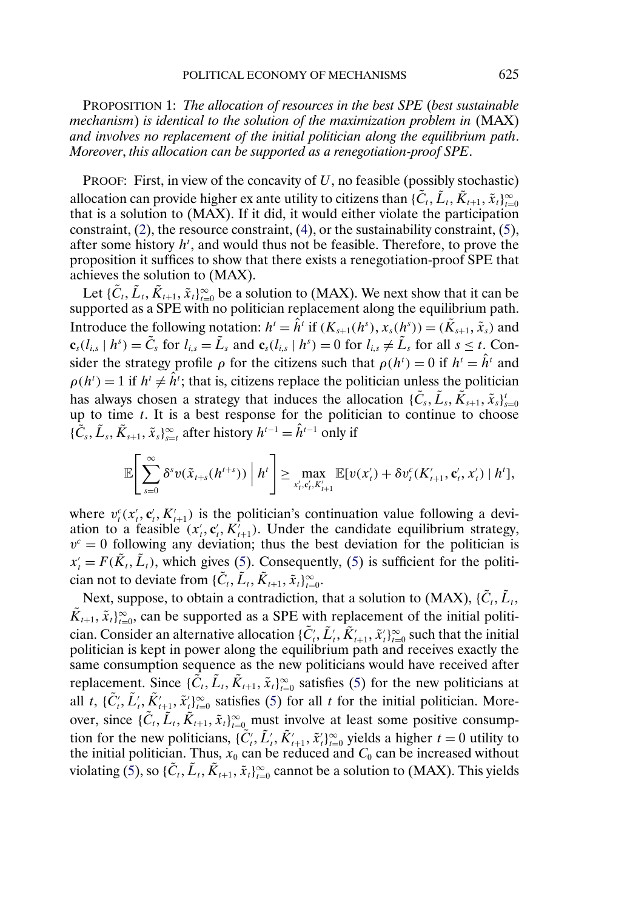<span id="page-6-0"></span>PROPOSITION 1: *The allocation of resources in the best SPE* (*best sustainable mechanism*) *is identical to the solution of the maximization problem in* (MAX) *and involves no replacement of the initial politician along the equilibrium path*. *Moreover*, *this allocation can be supported as a renegotiation-proof SPE*.

PROOF: First, in view of the concavity of  $U$ , no feasible (possibly stochastic) allocation can provide higher ex ante utility to citizens than  $\{\tilde{C}_t, \tilde{L}_t, \tilde{K}_{t+1}, \tilde{x}_t\}_{t=0}^\infty$ that is a solution to (MAX). If it did, it would either violate the participation constraint, [\(2\)](#page-3-0), the resource constraint, [\(4\)](#page-5-0), or the sustainability constraint, [\(5\)](#page-5-0), after some history  $h<sup>t</sup>$ , and would thus not be feasible. Therefore, to prove the proposition it suffices to show that there exists a renegotiation-proof SPE that achieves the solution to (MAX).

Let  $\{\tilde{C}_t, \tilde{L}_t, \tilde{K}_{t+1}, \tilde{x}_t\}_{t=0}^{\infty}$  be a solution to (MAX). We next show that it can be supported as a SPE with no politician replacement along the equilibrium path. Introduce the following notation:  $h^t = \hat{h}^t$  if  $(K_{s+1}(h^s), x_s(h^s)) = (\tilde{K}_{s+1}, \tilde{x}_s)$  and  $\mathbf{c}_s(l_{i,s} \mid h^s) = \tilde{C}_s$  for  $l_{i,s} = \tilde{L}_s$  and  $\mathbf{c}_s(l_{i,s} \mid h^s) = 0$  for  $l_{i,s} \neq \tilde{L}_s$  for all  $s \leq t$ . Consider the strategy profile  $\rho$  for the citizens such that  $\rho(h^t) = 0$  if  $h^t = \hat{h}^t$  and  $\rho(h^t) = 1$  if  $h^t \neq \hat{h}^t$ ; that is, citizens replace the politician unless the politician has always chosen a strategy that induces the allocation  $\{\tilde{C}_s, \tilde{L}_s, \tilde{K}_{s+1}, \tilde{x}_s\}_{s=0}^t$ up to time  $t$ . It is a best response for the politician to continue to choose  $\{\tilde{\overline{C}}_s, \tilde{L}_s, \tilde{K}_{s+1}, \tilde{X}_s\}_{s=t}^{\infty}$  after history  $h^{t-1} = \hat{h}^{t-1}$  only if

$$
\mathbb{E}\Bigg[\sum_{s=0}^{\infty}\delta^s v(\tilde{x}_{t+s}(h^{t+s}))\Big| h^t\Bigg]\geq \max_{x'_t,c'_t,K'_{t+1}}\mathbb{E}[v(x'_t)+\delta v_t^c(K'_{t+1},\mathbf{c}'_t,x'_t)\,|\,h^t],
$$

where  $v_t^c(x_t', c_t', K_{t+1}')$  is the politician's continuation value following a deviation to a feasible  $(x'_t, c'_t, K'_{t+1})$ . Under the candidate equilibrium strategy,  $v^c = 0$  following any deviation; thus the best deviation for the politician is  $x'_t = F(\tilde{K}_t, \tilde{L}_t)$ , which gives [\(5\)](#page-5-0). Consequently, (5) is sufficient for the politician not to deviate from  $\{\tilde{C}_t, \tilde{L}_t, \tilde{K}_{t+1}, \tilde{x}_t\}_{t=0}^\infty$ .

Next, suppose, to obtain a contradiction, that a solution to (MAX),  $\{C_t, \tilde{L}_t, \tilde{L}_t\}$  $\tilde{K}_{t+1}, \tilde{x}_t\}_{t=0}^{\infty}$ , can be supported as a SPE with replacement of the initial politician. Consider an alternative allocation  $\{\tilde{C}_i, \tilde{L}_i, \tilde{K}_{t+1}, \tilde{X}_t\}_{t=0}^{\infty}$  such that the initial politician is kept in power along the equilibrium path and receives exactly the same consumption sequence as the new politicians would have received after replacement. Since  $\{\tilde{C}_t, \tilde{L}_t, \tilde{K}_{t+1}, \tilde{x}_t\}_{t=0}^{\infty}$  satisfies [\(5\)](#page-5-0) for the new politicians at all t, { $\tilde{C}'_t$ ,  $\tilde{L}'_t$ ,  $\tilde{K}'_{t+1}$ ,  $\tilde{X}'_t$ } $_{t=0}^{\infty}$  satisfies [\(5\)](#page-5-0) for all t for the initial politician. Moreover, since  $\{\tilde{C}_t, \tilde{L}_t, \tilde{K}_{t+1}, \tilde{x}_t\}_{t=0}^{\infty}$  must involve at least some positive consumption for the new politicians,  $\{\tilde{C}_i, \tilde{L}_i, \tilde{K}_{t+1}, \tilde{x}_i\}_{i=0}^{\infty}$  yields a higher  $t = 0$  utility to the initial politician. Thus,  $x_0$  can be reduced and  $C_0$  can be increased without violating [\(5\)](#page-5-0), so { $\tilde{C}_t, \tilde{L}_t, \tilde{K}_{t+1}, \tilde{x}_t\}_{t=0}^\infty$  cannot be a solution to (MAX). This yields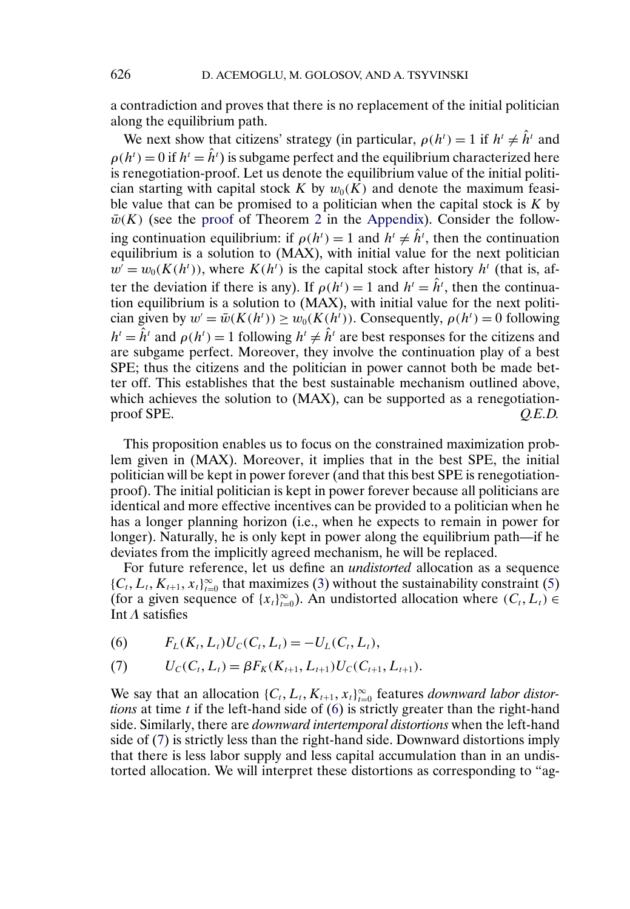<span id="page-7-0"></span>a contradiction and proves that there is no replacement of the initial politician along the equilibrium path.

We next show that citizens' strategy (in particular,  $\rho(h^t) = 1$  if  $h^t \neq \hat{h}^t$  and  $\rho(h^t) = 0$  if  $h^t = \hat{h}^t$ ) is subgame perfect and the equilibrium characterized here is renegotiation-proof. Let us denote the equilibrium value of the initial politician starting with capital stock K by  $w_0(K)$  and denote the maximum feasible value that can be promised to a politician when the capital stock is  $K$  by  $\bar{w}(K)$  (see the [proof](#page-18-0) of Theorem [2](#page-11-0) in the [Appendix\)](#page-14-0). Consider the following continuation equilibrium: if  $\rho(h^t) = 1$  and  $h^t \neq \hat{h}^t$ , then the continuation equilibrium is a solution to (MAX), with initial value for the next politician  $w' = w_0(K(h^t))$ , where  $K(h^t)$  is the capital stock after history  $h^t$  (that is, after the deviation if there is any). If  $\rho(h^t) = 1$  and  $h^t = \hat{h}^t$ , then the continuation equilibrium is a solution to (MAX), with initial value for the next politician given by  $w' = \bar{w}(K(h^t)) \ge w_0(K(h^t))$ . Consequently,  $\rho(h^t) = 0$  following  $h^t = \hat{h}^t$  and  $\rho(h^t) = 1$  following  $h^t \neq \hat{h}^t$  are best responses for the citizens and are subgame perfect. Moreover, they involve the continuation play of a best SPE; thus the citizens and the politician in power cannot both be made better off. This establishes that the best sustainable mechanism outlined above, which achieves the solution to (MAX), can be supported as a renegotiationproof SPE.  $Q.E.D.$ 

This proposition enables us to focus on the constrained maximization problem given in (MAX). Moreover, it implies that in the best SPE, the initial politician will be kept in power forever (and that this best SPE is renegotiationproof). The initial politician is kept in power forever because all politicians are identical and more effective incentives can be provided to a politician when he has a longer planning horizon (i.e., when he expects to remain in power for longer). Naturally, he is only kept in power along the equilibrium path—if he deviates from the implicitly agreed mechanism, he will be replaced.

For future reference, let us define an *undistorted* allocation as a sequence  $\{C_t, L_t, K_{t+1}, x_t\}_{t=0}^{\infty}$  that maximizes [\(3\)](#page-5-0) without the sustainability constraint [\(5\)](#page-5-0) (for a given sequence of  $\{x_t\}_{t=0}^{\infty}$ ). An undistorted allocation where  $(C_t, L_t)$ Int  $\Lambda$  satisfies

(6) 
$$
F_L(K_t, L_t)U_C(C_t, L_t) = -U_L(C_t, L_t),
$$

(7) 
$$
U_C(C_t, L_t) = \beta F_K(K_{t+1}, L_{t+1}) U_C(C_{t+1}, L_{t+1}).
$$

We say that an allocation  $\{C_t, L_t, K_{t+1}, x_t\}_{t=0}^{\infty}$  features *downward labor distortions* at time *t* if the left-hand side of (6) is strictly greater than the right-hand side. Similarly, there are *downward intertemporal distortions* when the left-hand side of (7) is strictly less than the right-hand side. Downward distortions imply that there is less labor supply and less capital accumulation than in an undistorted allocation. We will interpret these distortions as corresponding to "ag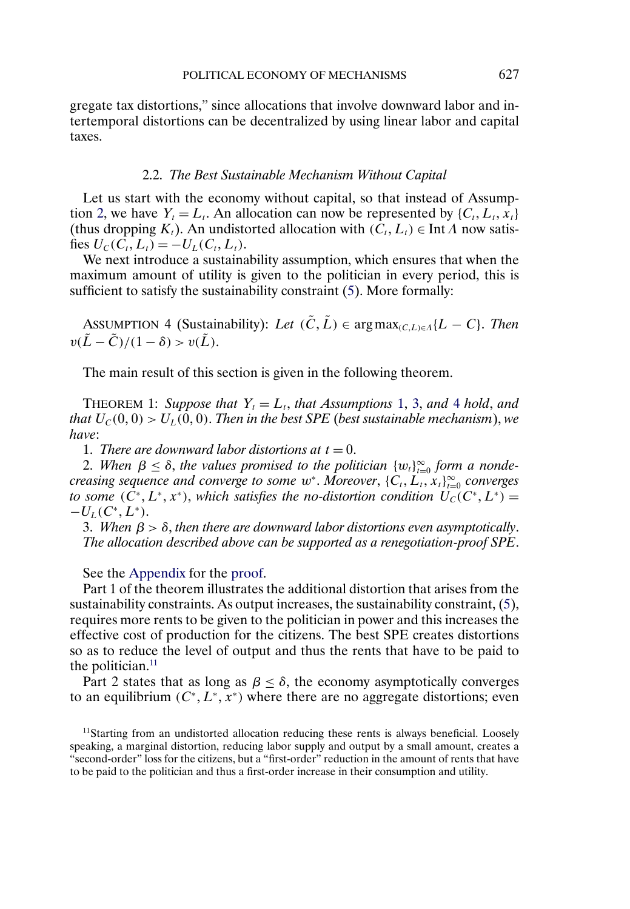<span id="page-8-0"></span>gregate tax distortions," since allocations that involve downward labor and intertemporal distortions can be decentralized by using linear labor and capital taxes.

#### 2.2. *The Best Sustainable Mechanism Without Capital*

Let us start with the economy without capital, so that instead of Assump-tion [2,](#page-2-0) we have  $Y_t = L_t$ . An allocation can now be represented by  $\{C_t, L_t, x_t\}$ (thus dropping  $K_t$ ). An undistorted allocation with  $(C_t, L_t) \in \text{Int } \Lambda$  now satisfies  $U_C(C_t, L_t) = -U_L(C_t, L_t)$ .

We next introduce a sustainability assumption, which ensures that when the maximum amount of utility is given to the politician in every period, this is sufficient to satisfy the sustainability constraint [\(5\)](#page-5-0). More formally:

ASSUMPTION 4 (Sustainability): *Let*  $(\tilde{C}, \tilde{L}) \in \arg \max_{(C,L) \in \Lambda} \{L - C\}$ . *Then*  $v(\tilde{L} - \tilde{C})/(1 - \delta) > v(\tilde{L}).$ 

The main result of this section is given in the following theorem.

THEOREM 1: *Suppose that*  $Y_t = L_t$ , *that Assumptions* [1,](#page-2-0) [3,](#page-3-0) *and* 4 *hold*, *and that*  $U_c(0, 0) > U_L(0, 0)$ . *Then in the best SPE* (*best sustainable mechanism*), *we have*:

1. *There are downward labor distortions at*  $t = 0$ .

2. When  $\beta \leq \delta$ , the values promised to the politician  $\{w_t\}_{t=0}^{\infty}$  form a nonde*creasing sequence and converge to some w<sup>\*</sup>. Moreover*,  $\{C_t, L_t, x_t\}_{t=0}^{\infty}$  *converges to some*  $(\tilde{C}^*, L^*, x^*)$ , *which satisfies the no-distortion condition*  $\widetilde{U}_C(C^*, L^*)$  =  $-U_L(C^*, L^*).$ 

3. When  $\beta > \delta$ , then there are downward labor distortions even asymptotically. *The allocation described above can be supported as a renegotiation-proof SPE*.

See the [Appendix](#page-14-0) for the [proof.](#page-21-0)

Part 1 of the theorem illustrates the additional distortion that arises from the sustainability constraints. As output increases, the sustainability constraint, [\(5\)](#page-5-0), requires more rents to be given to the politician in power and this increases the effective cost of production for the citizens. The best SPE creates distortions so as to reduce the level of output and thus the rents that have to be paid to the politician. $11$ 

Part 2 states that as long as  $\beta \leq \delta$ , the economy asymptotically converges to an equilibrium  $(C^*, L^*, x^*)$  where there are no aggregate distortions; even

 $11$ Starting from an undistorted allocation reducing these rents is always beneficial. Loosely speaking, a marginal distortion, reducing labor supply and output by a small amount, creates a "second-order" loss for the citizens, but a "first-order" reduction in the amount of rents that have to be paid to the politician and thus a first-order increase in their consumption and utility.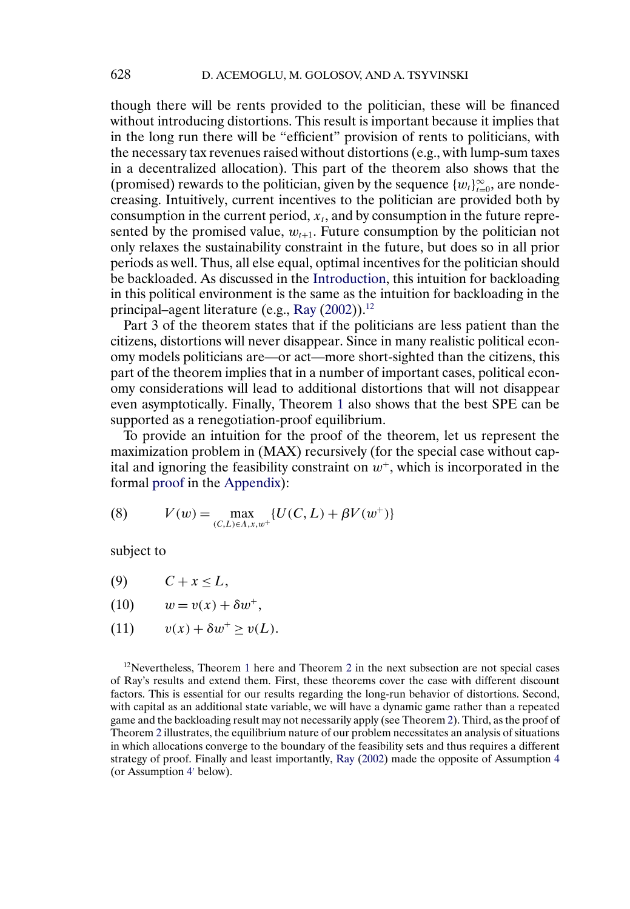<span id="page-9-0"></span>though there will be rents provided to the politician, these will be financed without introducing distortions. This result is important because it implies that in the long run there will be "efficient" provision of rents to politicians, with the necessary tax revenues raised without distortions (e.g., with lump-sum taxes in a decentralized allocation). This part of the theorem also shows that the (promised) rewards to the politician, given by the sequence  $\{w_t\}_{t=0}^{\infty}$ , are nondecreasing. Intuitively, current incentives to the politician are provided both by consumption in the current period,  $x_t$ , and by consumption in the future represented by the promised value,  $w_{t+1}$ . Future consumption by the politician not only relaxes the sustainability constraint in the future, but does so in all prior periods as well. Thus, all else equal, optimal incentives for the politician should be backloaded. As discussed in the [Introduction,](#page-0-0) this intuition for backloading in this political environment is the same as the intuition for backloading in the principal–agent literature (e.g., [Ray](#page-22-0) [\(2002\)](#page-22-0)).<sup>12</sup>

Part 3 of the theorem states that if the politicians are less patient than the citizens, distortions will never disappear. Since in many realistic political economy models politicians are—or act—more short-sighted than the citizens, this part of the theorem implies that in a number of important cases, political economy considerations will lead to additional distortions that will not disappear even asymptotically. Finally, Theorem [1](#page-8-0) also shows that the best SPE can be supported as a renegotiation-proof equilibrium.

To provide an intuition for the proof of the theorem, let us represent the maximization problem in (MAX) recursively (for the special case without capital and ignoring the feasibility constraint on  $w^+$ , which is incorporated in the formal [proof](#page-21-0) in the [Appendix\)](#page-14-0):

(8) 
$$
V(w) = \max_{(C,L)\in\Lambda,x,w^+} \{U(C,L) + \beta V(w^+)\}
$$

subject to

- (9)  $C + x < L$ ,
- (10)  $w = v(x) + \delta w^{+}$ ,
- (11)  $v(x) + \delta w^+ > v(L)$ .

 $12$  $12$ Nevertheless, Theorem 1 here and Theorem 2 in the next subsection are not special cases of Ray's results and extend them. First, these theorems cover the case with different discount factors. This is essential for our results regarding the long-run behavior of distortions. Second, with capital as an additional state variable, we will have a dynamic game rather than a repeated game and the backloading result may not necessarily apply (see Theorem [2\)](#page-11-0). Third, as the proof of Theorem [2](#page-11-0) illustrates, the equilibrium nature of our problem necessitates an analysis of situations in which allocations converge to the boundary of the feasibility sets and thus requires a different strategy of proof. Finally and least importantly, [Ray](#page-22-0) [\(2002\)](#page-22-0) made the opposite of Assumption [4](#page-8-0) (or Assumption [4](#page-11-0)' below).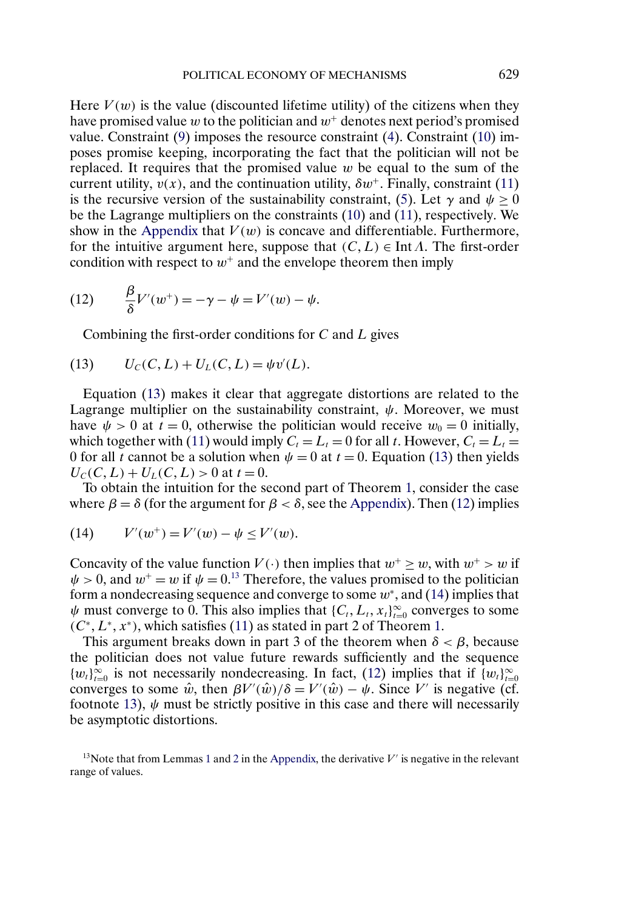<span id="page-10-0"></span>Here  $V(w)$  is the value (discounted lifetime utility) of the citizens when they have promised value w to the politician and  $w^+$  denotes next period's promised value. Constraint [\(9\)](#page-9-0) imposes the resource constraint [\(4\)](#page-5-0). Constraint [\(10\)](#page-9-0) imposes promise keeping, incorporating the fact that the politician will not be replaced. It requires that the promised value  $w$  be equal to the sum of the current utility,  $v(x)$ , and the continuation utility,  $\delta w^+$ . Finally, constraint [\(11\)](#page-9-0) is the recursive version of the sustainability constraint, [\(5\)](#page-5-0). Let  $\gamma$  and  $\psi \ge 0$ be the Lagrange multipliers on the constraints [\(10\)](#page-9-0) and [\(11\)](#page-9-0), respectively. We show in the [Appendix](#page-14-0) that  $V(w)$  is concave and differentiable. Furthermore, for the intuitive argument here, suppose that  $(C, L) \in \text{Int } \Lambda$ . The first-order condition with respect to  $w^+$  and the envelope theorem then imply

(12) 
$$
\frac{\beta}{\delta}V'(w^+) = -\gamma - \psi = V'(w) - \psi.
$$

Combining the first-order conditions for  $C$  and  $L$  gives

(13) 
$$
U_C(C, L) + U_L(C, L) = \psi v'(L).
$$

Equation (13) makes it clear that aggregate distortions are related to the Lagrange multiplier on the sustainability constraint,  $\psi$ . Moreover, we must have  $\psi > 0$  at  $t = 0$ , otherwise the politician would receive  $w_0 = 0$  initially, which together with [\(11\)](#page-9-0) would imply  $C_t = L_t = 0$  for all t. However,  $C_t = L_t =$ 0 for all t cannot be a solution when  $\psi = 0$  at  $t = 0$ . Equation (13) then yields  $U_C(C, L) + U_L(C, L) > 0$  at  $t = 0$ .

To obtain the intuition for the second part of Theorem [1,](#page-8-0) consider the case where  $\beta = \delta$  (for the argument for  $\beta < \delta$ , see the [Appendix\)](#page-14-0). Then (12) implies

(14) 
$$
V'(w^+) = V'(w) - \psi \le V'(w).
$$

Concavity of the value function  $V(\cdot)$  then implies that  $w^+ > w$ , with  $w^+ > w$  if  $\psi > 0$ , and  $w^+ = w$  if  $\psi = 0$ .<sup>13</sup> Therefore, the values promised to the politician form a nondecreasing sequence and converge to some  $w^*$ , and (14) implies that  $\psi$  must converge to 0. This also implies that  $\{C_t, L_t, x_t\}_{t=0}^{\infty}$  converges to some  $(C^*, L^*, x^*)$ , which satisfies [\(11\)](#page-9-0) as stated in part 2 of Theorem [1.](#page-8-0)

This argument breaks down in part 3 of the theorem when  $\delta < \beta$ , because the politician does not value future rewards sufficiently and the sequence { $w_t$ }<sup>∞</sup><sub>t=0</sub> is not necessarily nondecreasing. In fact, (12) implies that if { $w_t$ }<sup>∞</sup><sub>t=0</sub> converges to some  $\hat{w}$ , then  $\beta V'(\hat{w})/\delta = V'(\hat{w}) - \psi$ . Since V' is negative (cf. footnote 13),  $\psi$  must be strictly positive in this case and there will necessarily be asymptotic distortions.

<sup>[1](#page-14-0)3</sup>Note that from Lemmas 1 and [2](#page-15-0) in the [Appendix,](#page-14-0) the derivative  $V'$  is negative in the relevant range of values.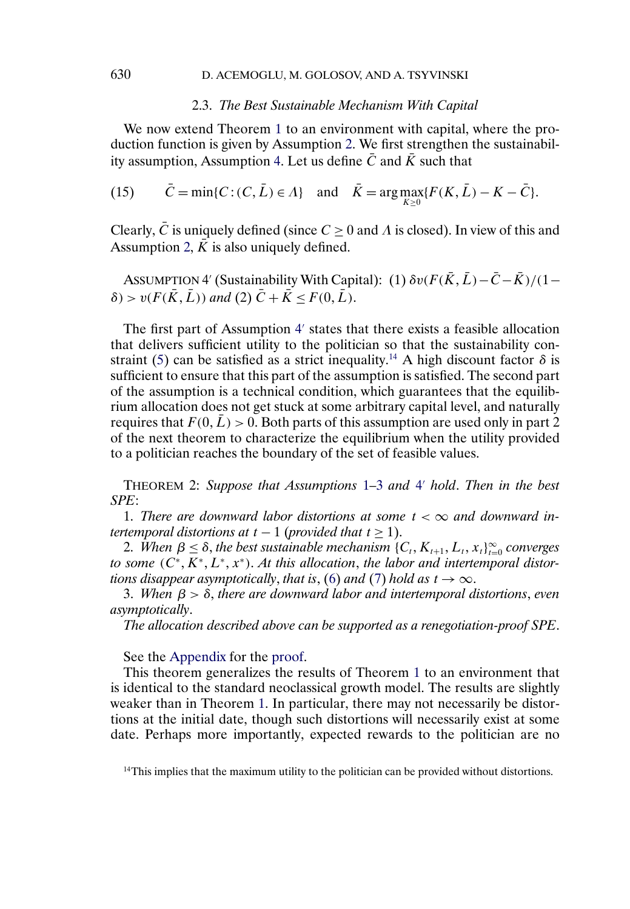#### 2.3. *The Best Sustainable Mechanism With Capital*

<span id="page-11-0"></span>We now extend Theorem [1](#page-8-0) to an environment with capital, where the production function is given by Assumption [2.](#page-2-0) We first strengthen the sustainabil-ity assumption, Assumption [4.](#page-8-0) Let us define  $\overline{C}$  and  $\overline{K}$  such that

(15) 
$$
\bar{C} = \min\{C : (C, \bar{L}) \in \Lambda\} \text{ and } \bar{K} = \arg\max_{K \geq 0} \{F(K, \bar{L}) - K - \bar{C}\}.
$$

Clearly,  $\overline{C}$  is uniquely defined (since  $C \ge 0$  and  $\Lambda$  is closed). In view of this and Assumption [2,](#page-2-0)  $\overline{K}$  is also uniquely defined.

ASSUMPTION 4' (Sustainability With Capital): (1)  $\delta v(F(\bar{K}, \bar{L}) - \bar{C} - \bar{K})/(1 \delta$  >  $v(F(\overline{K}, \overline{L}))$  and (2)  $\overline{C} + \overline{K} \leq F(0, \overline{L})$ .

The first part of Assumption 4' states that there exists a feasible allocation that delivers sufficient utility to the politician so that the sustainability con-straint [\(5\)](#page-5-0) can be satisfied as a strict inequality.<sup>14</sup> A high discount factor  $\delta$  is sufficient to ensure that this part of the assumption is satisfied. The second part of the assumption is a technical condition, which guarantees that the equilibrium allocation does not get stuck at some arbitrary capital level, and naturally requires that  $F(0,L) > 0$ . Both parts of this assumption are used only in part 2 of the next theorem to characterize the equilibrium when the utility provided to a politician reaches the boundary of the set of feasible values.

THEOREM 2: *Suppose that Assumptions* [1](#page-2-0)[–3](#page-3-0) *and* 4 *hold*. *Then in the best SPE*:

1. There are downward labor distortions at some  $t < \infty$  and downward in*tertemporal distortions at*  $t - 1$  (*provided that*  $t \ge 1$ ).

2. When  $\beta \leq \delta$ , the best sustainable mechanism  $\{C_t, K_{t+1}, L_t, x_t\}_{t=0}^{\infty}$  converges *to some* ( $C^*$ ,  $K^*$ ,  $L^*$ ,  $x^*$ ). *At this allocation*, *the labor and intertemporal distor-tions disappear asymptotically, that is, [\(6\)](#page-7-0) and [\(7\)](#page-7-0) hold as*  $t \to \infty$ *.* 

3. *When* β>δ, *there are downward labor and intertemporal distortions*, *even asymptotically*.

*The allocation described above can be supported as a renegotiation-proof SPE*.

See the [Appendix](#page-14-0) for the [proof.](#page-18-0)

This theorem generalizes the results of Theorem [1](#page-8-0) to an environment that is identical to the standard neoclassical growth model. The results are slightly weaker than in Theorem [1.](#page-8-0) In particular, there may not necessarily be distortions at the initial date, though such distortions will necessarily exist at some date. Perhaps more importantly, expected rewards to the politician are no

 $<sup>14</sup>$ This implies that the maximum utility to the politician can be provided without distortions.</sup>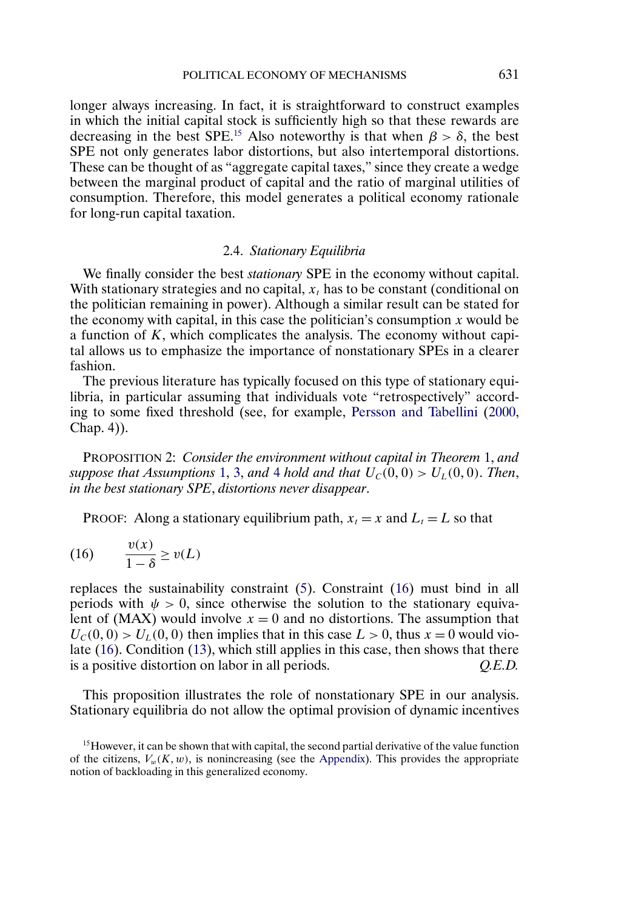longer always increasing. In fact, it is straightforward to construct examples in which the initial capital stock is sufficiently high so that these rewards are decreasing in the best SPE.<sup>15</sup> Also noteworthy is that when  $\beta > \delta$ , the best SPE not only generates labor distortions, but also intertemporal distortions. These can be thought of as "aggregate capital taxes," since they create a wedge between the marginal product of capital and the ratio of marginal utilities of consumption. Therefore, this model generates a political economy rationale for long-run capital taxation.

### 2.4. *Stationary Equilibria*

We finally consider the best *stationary* SPE in the economy without capital. With stationary strategies and no capital,  $x_t$  has to be constant (conditional on the politician remaining in power). Although a similar result can be stated for the economy with capital, in this case the politician's consumption  $x$  would be a function of K, which complicates the analysis. The economy without capital allows us to emphasize the importance of nonstationary SPEs in a clearer fashion.

The previous literature has typically focused on this type of stationary equilibria, in particular assuming that individuals vote "retrospectively" according to some fixed threshold (see, for example, [Persson and Tabellini](#page-22-0) [\(2000,](#page-22-0) Chap. 4)).

PROPOSITION 2: *Consider the environment without capital in Theorem* [1,](#page-8-0) *and suppose that Assumptions* [1,](#page-2-0) [3,](#page-3-0) and [4](#page-8-0) *hold and that*  $U_c(0,0) > U<sub>L</sub>(0, 0)$ . *Then*, *in the best stationary SPE*, *distortions never disappear*.

PROOF: Along a stationary equilibrium path,  $x_t = x$  and  $L_t = L$  so that

$$
(16) \qquad \frac{v(x)}{1-\delta} \ge v(L)
$$

replaces the sustainability constraint [\(5\)](#page-5-0). Constraint (16) must bind in all periods with  $\psi > 0$ , since otherwise the solution to the stationary equivalent of (MAX) would involve  $x = 0$  and no distortions. The assumption that  $U_c(0, 0) > U<sub>L</sub>(0, 0)$  then implies that in this case  $L > 0$ , thus  $x = 0$  would violate (16). Condition [\(13\)](#page-10-0), which still applies in this case, then shows that there is a positive distortion on labor in all periods. *Q.E.D.*

This proposition illustrates the role of nonstationary SPE in our analysis. Stationary equilibria do not allow the optimal provision of dynamic incentives

<sup>&</sup>lt;sup>15</sup>However, it can be shown that with capital, the second partial derivative of the value function of the citizens,  $V_w(K, w)$ , is nonincreasing (see the [Appendix\)](#page-14-0). This provides the appropriate notion of backloading in this generalized economy.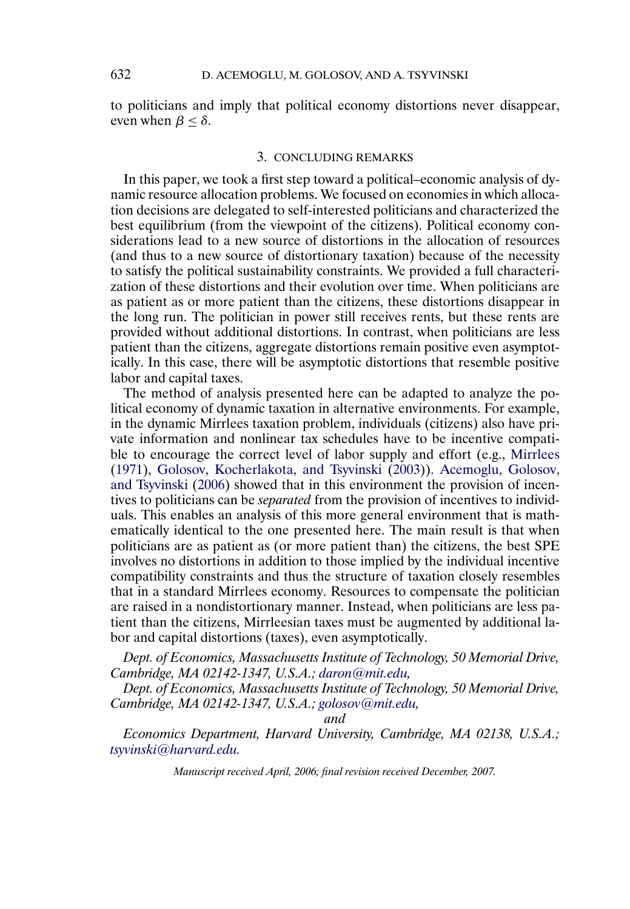<span id="page-13-0"></span>to politicians and imply that political economy distortions never disappear, even when  $\beta < \delta$ .

#### 3. CONCLUDING REMARKS

In this paper, we took a first step toward a political–economic analysis of dynamic resource allocation problems. We focused on economies in which allocation decisions are delegated to self-interested politicians and characterized the best equilibrium (from the viewpoint of the citizens). Political economy considerations lead to a new source of distortions in the allocation of resources (and thus to a new source of distortionary taxation) because of the necessity to satisfy the political sustainability constraints. We provided a full characterization of these distortions and their evolution over time. When politicians are as patient as or more patient than the citizens, these distortions disappear in the long run. The politician in power still receives rents, but these rents are provided without additional distortions. In contrast, when politicians are less patient than the citizens, aggregate distortions remain positive even asymptotically. In this case, there will be asymptotic distortions that resemble positive labor and capital taxes.

The method of analysis presented here can be adapted to analyze the political economy of dynamic taxation in alternative environments. For example, in the dynamic Mirrlees taxation problem, individuals (citizens) also have private information and nonlinear tax schedules have to be incentive compatible to encourage the correct level of labor supply and effort (e.g., [Mirrlees](#page-22-0) [\(1971\)](#page-22-0), [Golosov, Kocherlakota, and Tsyvinski](#page-22-0) [\(2003\)](#page-22-0)). [Acemoglu, Golosov,](#page-21-0) [and Tsyvinski](#page-21-0) [\(2006\)](#page-21-0) showed that in this environment the provision of incentives to politicians can be *separated* from the provision of incentives to individuals. This enables an analysis of this more general environment that is mathematically identical to the one presented here. The main result is that when politicians are as patient as (or more patient than) the citizens, the best SPE involves no distortions in addition to those implied by the individual incentive compatibility constraints and thus the structure of taxation closely resembles that in a standard Mirrlees economy. Resources to compensate the politician are raised in a nondistortionary manner. Instead, when politicians are less patient than the citizens, Mirrleesian taxes must be augmented by additional labor and capital distortions (taxes), even asymptotically.

*Dept. of Economics, Massachusetts Institute of Technology, 50 Memorial Drive, Cambridge, MA 02142-1347, U.S.A.; [daron@mit.edu,](mailto:daron@mit.edu)*

*Dept. of Economics, Massachusetts Institute of Technology, 50 Memorial Drive, Cambridge, MA 02142-1347, U.S.A.; [golosov@mit.edu](mailto:golosov@mit.edu),*

*and*

*Economics Department, Harvard University, Cambridge, MA 02138, U.S.A.; [tsyvinski@harvard.edu](mailto:tsyvinski@harvard.edu).*

*Manuscript received April, 2006; final revision received December, 2007.*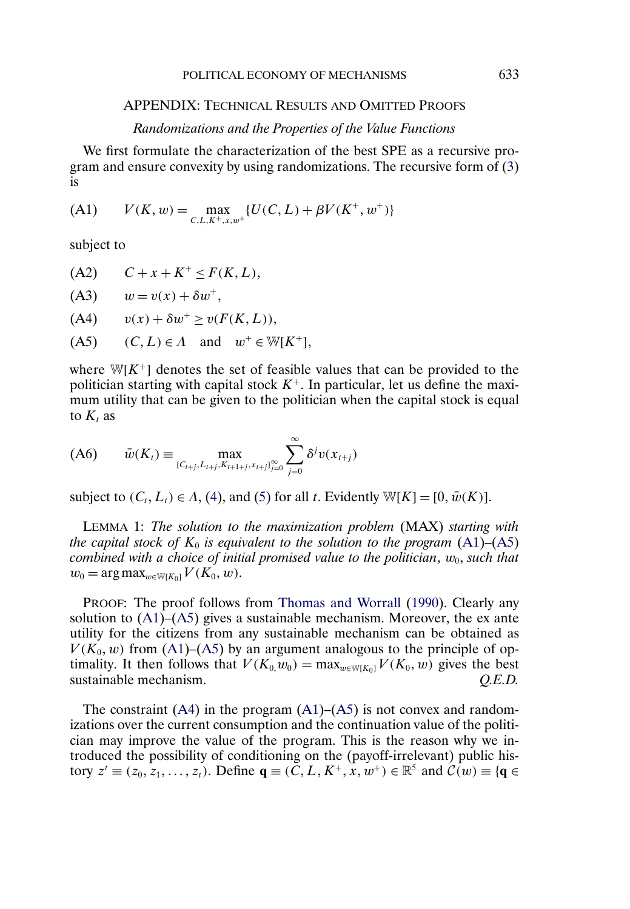# <span id="page-14-0"></span>APPENDIX: TECHNICAL RESULTS AND OMITTED PROOFS

#### *Randomizations and the Properties of the Value Functions*

We first formulate the characterization of the best SPE as a recursive program and ensure convexity by using randomizations. The recursive form of [\(3\)](#page-5-0) is

(A1) 
$$
V(K, w) = \max_{C, L, K^+, x, w^+} \{ U(C, L) + \beta V(K^+, w^+) \}
$$

subject to

 $(A2)$   $C + x + K^+ \leq F(K, L),$ 

$$
(A3) \qquad w = v(x) + \delta w^+,
$$

$$
(A4) \qquad v(x) + \delta w^+ \ge v(F(K, L)),
$$

 $(A5)$   $(C, L) \in \Lambda$  and  $w^+ \in W[K^+]$ ,

where  $W[K^+]$  denotes the set of feasible values that can be provided to the politician starting with capital stock  $K^+$ . In particular, let us define the maximum utility that can be given to the politician when the capital stock is equal to  $K_t$  as

$$
(A6) \qquad \bar{w}(K_t) \equiv \max_{\{C_{t+j}, L_{t+j}, K_{t+1+j}, x_{t+j}\}_{j=0}^{\infty}} \sum_{j=0}^{\infty} \delta^j v(x_{t+j})
$$

subject to  $(C_t, L_t) \in A$ , [\(4\)](#page-5-0), and [\(5\)](#page-5-0) for all t. Evidently W[K] = [0,  $\bar{w}(K)$ ].

LEMMA 1: *The solution to the maximization problem* (MAX) *starting with the capital stock of*  $K_0$  *is equivalent to the solution to the program*  $(A1)$ – $(A5)$ *combined with a choice of initial promised value to the politician,*  $w_0$ *, such that*  $w_0 = \arg \max_{w \in W[K_0]} V(K_0, w).$ 

PROOF: The proof follows from [Thomas and Worrall](#page-22-0) [\(1990\)](#page-22-0). Clearly any solution to  $(A1)$ – $(A5)$  gives a sustainable mechanism. Moreover, the ex ante utility for the citizens from any sustainable mechanism can be obtained as  $V(K_0, w)$  from (A1)–(A5) by an argument analogous to the principle of optimality. It then follows that  $V(K_0, w_0) = \max_{w \in W[K_0]} V(K_0, w)$  gives the best sustainable mechanism. Q.E.D. sustainable mechanism.

The constraint  $(A4)$  in the program  $(A1)$ – $(A5)$  is not convex and randomizations over the current consumption and the continuation value of the politician may improve the value of the program. This is the reason why we introduced the possibility of conditioning on the (payoff-irrelevant) public history  $z^t \equiv (z_0, z_1, \ldots, z_t)$ . Define  $\mathbf{q} \equiv (C, L, K^+, x, w^+) \in \mathbb{R}^5$  and  $\mathcal{C}(w) \equiv \{ \mathbf{q} \in$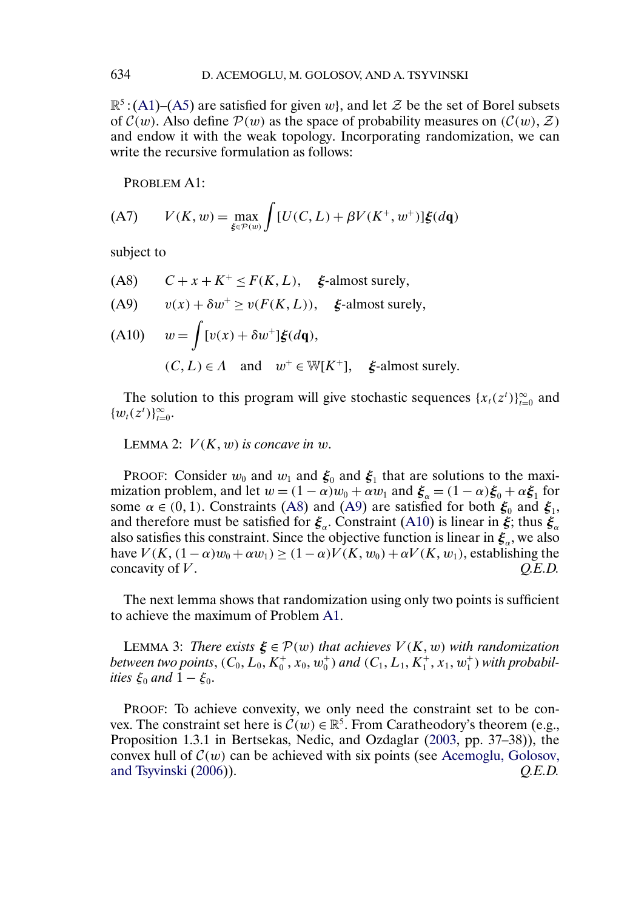$\mathbb{R}^5$ : [\(A1\)](#page-14-0)–[\(A5\)](#page-14-0) are satisfied for given w, and let Z be the set of Borel subsets of  $\mathcal{C}(w)$ . Also define  $\mathcal{P}(w)$  as the space of probability measures on  $(\mathcal{C}(w), \mathcal{Z})$ and endow it with the weak topology. Incorporating randomization, we can write the recursive formulation as follows:

PROBLEM A1:

(A7) 
$$
V(K, w) = \max_{\xi \in \mathcal{P}(w)} \int [U(C, L) + \beta V(K^+, w^+)] \xi(d\mathbf{q})
$$

subject to

- (A8)  $C + x + K^+ \leq F(K, L)$ ,  $\xi$ -almost surely,
- (A9)  $v(x) + \delta w^+ \ge v(F(K, L))$ ,  $\xi$ -almost surely,

(A10) 
$$
w = \int [v(x) + \delta w^+] \xi(d\mathbf{q}),
$$
  
\n(C, L)  $\in \Lambda$  and  $w^+ \in W[K^+]$ ,  $\xi$ -almost surely.

The solution to this program will give stochastic sequences  $\{x_t(z^t)\}_{t=0}^{\infty}$  and  $\{w_t(z^t)\}_{t=0}^{\infty}$ .

LEMMA 2:  $V(K, w)$  is concave in w.

PROOF: Consider  $w_0$  and  $w_1$  and  $\xi_0$  and  $\xi_1$  that are solutions to the maximization problem, and let  $w = (1 - \alpha)w_0 + \alpha w_1$  and  $\xi_\alpha = (1 - \alpha)\xi_0 + \alpha \xi_1$  for some  $\alpha \in (0, 1)$ . Constraints (A8) and (A9) are satisfied for both  $\xi_0$  and  $\xi_1$ , and therefore must be satisfied for  $\xi_a$ . Constraint (A10) is linear in  $\xi$ ; thus  $\xi_a$ also satisfies this constraint. Since the objective function is linear in  $\xi_{\alpha}$ , we also have  $V(K, (1-\alpha)w_0 + \alpha w_1) \ge (1-\alpha)V(K, w_0) + \alpha V(K, w_1)$ , establishing the concavity of V.  $Q.E.D.$ 

The next lemma shows that randomization using only two points is sufficient to achieve the maximum of Problem A1.

LEMMA 3: *There exists*  $\xi \in \mathcal{P}(w)$  *that achieves*  $V(K, w)$  *with randomization* between two points,  $(C_0, L_0, K_0^+, x_0, w_0^+)$  and  $(C_1, L_1, K_1^+, x_1, w_1^+)$  with probabil*ities*  $\xi_0$  *and*  $1 - \xi_0$ *.* 

PROOF: To achieve convexity, we only need the constraint set to be convex. The constraint set here is  $\mathcal{C}(w) \in \mathbb{R}^5$ . From Caratheodory's theorem (e.g., Proposition 1.3.1 in Bertsekas, Nedic, and Ozdaglar [\(2003,](#page-22-0) pp. 37–38)), the convex hull of  $C(w)$  can be achieved with six points (see [Acemoglu, Golosov,](#page-21-0) and Tsyvinski (2006)).  $Q.E.D.$ [and Tsyvinski](#page-21-0) [\(2006\)](#page-21-0)).

<span id="page-15-0"></span>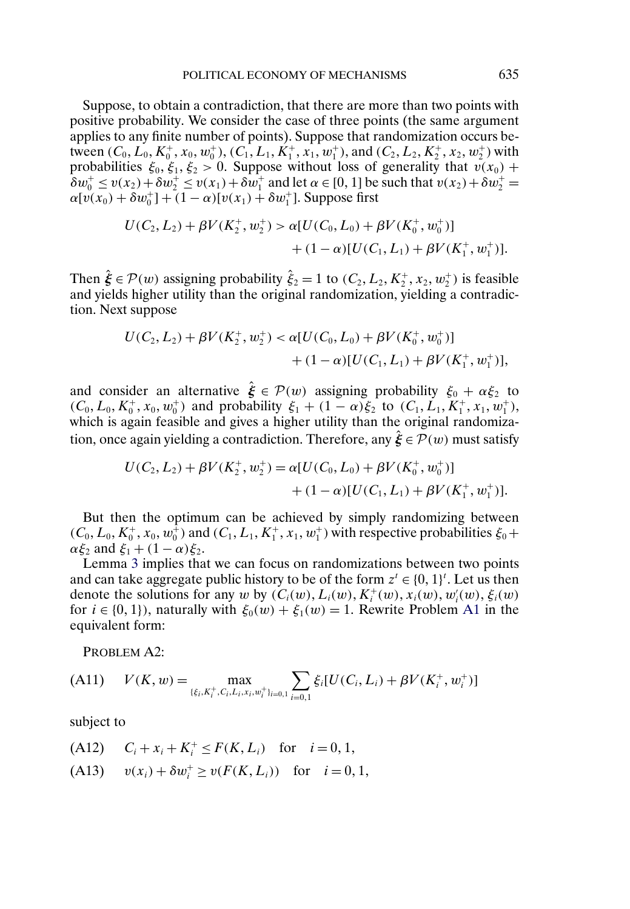<span id="page-16-0"></span>Suppose, to obtain a contradiction, that there are more than two points with positive probability. We consider the case of three points (the same argument applies to any finite number of points). Suppose that randomization occurs between  $(C_0, L_0, K_0^+, x_0, w_0^+), (C_1, L_1, K_1^+, x_1, w_1^+),$  and  $(C_2, L_2, K_2^+, x_2, w_2^+)$  with probabilities  $\xi_0, \xi_1, \xi_2 > 0$ . Suppose without loss of generality that  $v(x_0)$  +  $\delta w_0^+ \le v(x_2) + \delta w_2^+ \le v(x_1) + \delta w_1^+$  and let  $\alpha \in [0, 1]$  be such that  $v(x_2) + \delta w_2^+ =$  $\alpha[v(x_0) + \delta w_0^+] + (1 - \alpha)[v(x_1) + \delta w_1^+]$ . Suppose first

$$
U(C_2, L_2) + \beta V(K_2^+, w_2^+) > \alpha [U(C_0, L_0) + \beta V(K_0^+, w_0^+)]
$$
  
+ 
$$
(1 - \alpha)[U(C_1, L_1) + \beta V(K_1^+, w_1^+)].
$$

Then  $\hat{\xi} \in \mathcal{P}(w)$  assigning probability  $\hat{\xi}_2 = 1$  to  $(C_2, L_2, K_2^+, x_2, w_2^+)$  is feasible and yields higher utility than the original randomization, yielding a contradiction. Next suppose

$$
U(C_2, L_2) + \beta V(K_2^+, w_2^+) < \alpha [U(C_0, L_0) + \beta V(K_0^+, w_0^+)] \\
&+ (1 - \alpha) [U(C_1, L_1) + \beta V(K_1^+, w_1^+)],
$$

and consider an alternative  $\hat{\xi} \in \mathcal{P}(w)$  assigning probability  $\xi_0 + \alpha \xi_2$  to  $(C_0, L_0, K_0^+, x_0, w_0^+)$  and probability  $\xi_1 + (1 - \alpha)\xi_2$  to  $(C_1, L_1, K_1^+, x_1, w_1^+)$ , which is again feasible and gives a higher utility than the original randomization, once again yielding a contradiction. Therefore, any  $\xi \in \mathcal{P}(w)$  must satisfy

$$
U(C_2, L_2) + \beta V(K_2^+, w_2^+) = \alpha [U(C_0, L_0) + \beta V(K_0^+, w_0^+)]
$$
  
+ 
$$
(1 - \alpha) [U(C_1, L_1) + \beta V(K_1^+, w_1^+)].
$$

But then the optimum can be achieved by simply randomizing between  $(C_0, L_0, K_0^+, x_0, w_0^+)$  and  $(C_1, L_1, K_1^+, x_1, w_1^+)$  with respective probabilities  $\xi_0$  +  $\alpha \xi_2$  and  $\xi_1 + (1 - \alpha)\xi_2$ .

Lemma [3](#page-15-0) implies that we can focus on randomizations between two points and can take aggregate public history to be of the form  $z^t \in \{0, 1\}^t$ . Let us then denote the solutions for any w by  $(C_i(w), L_i(w), K_i^+(w), x_i(w), w_i'(w), \xi_i(w)$ for  $i \in \{0, 1\}$ , naturally with  $\xi_0(w) + \xi_1(w) = 1$ . Rewrite Problem [A1](#page-15-0) in the equivalent form:

PROBLEM A2:

$$
(A11) \qquad V(K, w) = \max_{\{\xi_i, K_i^+, C_i, L_i, x_i, w_i^+\}_{i=0,1}} \sum_{i=0,1} \xi_i [U(C_i, L_i) + \beta V(K_i^+, w_i^+)]
$$

subject to

(A12)  $C_i + x_i + K_i^+ \leq F(K, L_i)$  for  $i = 0, 1$ , (A13)  $v(x_i) + \delta w_i^+ \ge v(F(K, L_i))$  for  $i = 0, 1$ ,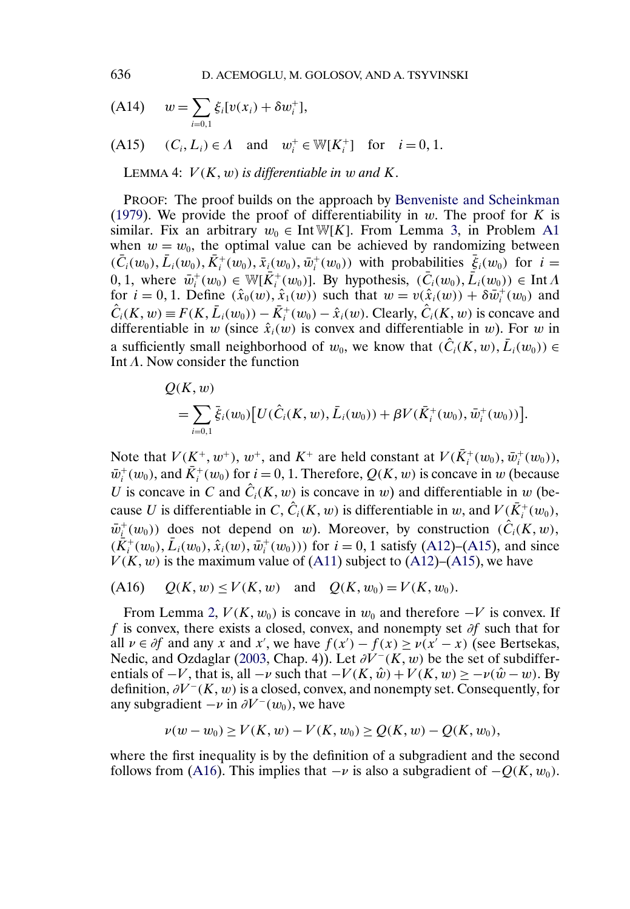(A14) 
$$
w = \sum_{i=0,1} \xi_i [v(x_i) + \delta w_i^+],
$$

$$
(A15) \t(Ci, Li) \in \Lambda \text{ and } wi+ \in W[Ki+] for i = 0, 1.
$$

LEMMA 4:  $V(K, w)$  is differentiable in w and K.

PROOF: The proof builds on the approach by [Benveniste and Scheinkman](#page-22-0) [\(1979\)](#page-22-0). We provide the proof of differentiability in  $w$ . The proof for K is similar. Fix an arbitrary  $w_0 \in Int \mathbb{W}[K]$ . From Lemma [3,](#page-15-0) in Problem [A1](#page-15-0) when  $w = w_0$ , the optimal value can be achieved by randomizing between  $(\bar{C}_i(w_0), \bar{L}_i(w_0), \bar{K}_i^+(w_0), \bar{x}_i(w_0), \bar{w}_i^+(w_0))$  with probabilities  $\bar{\xi}_i(w_0)$  for  $i =$ 0, 1, where  $\bar{w}_i^+(w_0) \in \mathbb{W}[\bar{K}_i^+(w_0)]$ . By hypothesis,  $(\bar{C}_i(w_0), \bar{L}_i(w_0)) \in \text{Int } \Lambda$ for  $i = 0, 1$ . Define  $(\hat{x}_0(w), \hat{x}_1(w))$  such that  $w = v(\hat{x}_i(w)) + \delta \overline{w}_i^+(w_0)$  and  $\hat{C}_i(K, w) \equiv F(K, \bar{L}_i(w_0)) - \bar{K}_i^+(w_0) - \hat{x}_i(w)$ . Clearly,  $\hat{C}_i(K, w)$  is concave and differentiable in w (since  $\hat{x}_i(w)$  is convex and differentiable in w). For w in a sufficiently small neighborhood of  $w_0$ , we know that  $(\hat{C}_i(K, w), \bar{L}_i(w_0)) \in$ Int  $\Lambda$ . Now consider the function

$$
Q(K, w) = \sum_{i=0,1} \bar{\xi}_i(w_0) [U(\hat{C}_i(K, w), \bar{L}_i(w_0)) + \beta V(\bar{K}_i^+(w_0), \bar{w}_i^+(w_0))].
$$

Note that  $V(K^+, w^+), w^+$ , and  $K^+$  are held constant at  $V(\bar{K}_i^+(w_0), \bar{w}_i^+(w_0)),$  $\bar{w}_i^+(w_0)$ , and  $\bar{K}_i^+(w_0)$  for  $i = 0, 1$ . Therefore,  $Q(K, w)$  is concave in w (because U is concave in C and  $\hat{C}_i(K, w)$  is concave in w) and differentiable in w (because U is differentiable in C,  $\hat{C}_i(K, w)$  is differentiable in w, and  $V(\bar{K}_i^+(w_0))$ ,  $\bar{w}_i^+(w_0)$  does not depend on w). Moreover, by construction  $(\hat{C}_i(K, w),$  $(\bar{K}_i^+(w_0), \bar{L}_i(w_0), \hat{x}_i(w), \bar{w}_i^+(w_0)))$  for  $i = 0, 1$  satisfy [\(A12\)](#page-16-0)–(A15), and since  $V(K, w)$  is the maximum value of [\(A11\)](#page-16-0) subject to [\(A12\)](#page-16-0)–(A15), we have

(A16) 
$$
Q(K, w) \le V(K, w)
$$
 and  $Q(K, w_0) = V(K, w_0)$ .

From Lemma [2,](#page-15-0)  $V(K, w_0)$  is concave in  $w_0$  and therefore  $-V$  is convex. If f is convex, there exists a closed, convex, and nonempty set ∂f such that for all  $\nu \in \partial f$  and any x and x', we have  $f(x') - f(x) \ge \nu(x' - x)$  (see Bertsekas, Nedic, and Ozdaglar [\(2003,](#page-22-0) Chap. 4)). Let  $\partial V^{-}(K, w)$  be the set of subdifferentials of  $-V$ , that is, all  $-v$  such that  $-V(K, \hat{w}) + V(K, w) \ge -\nu(\hat{w} - w)$ . By definition,  $\partial V^-(K, w)$  is a closed, convex, and nonempty set. Consequently, for any subgradient  $-v$  in  $\partial V^-(w_0)$ , we have

$$
\nu(w - w_0) \ge V(K, w) - V(K, w_0) \ge Q(K, w) - Q(K, w_0),
$$

where the first inequality is by the definition of a subgradient and the second follows from (A16). This implies that  $-v$  is also a subgradient of  $-Q(K, w_0)$ .

<span id="page-17-0"></span>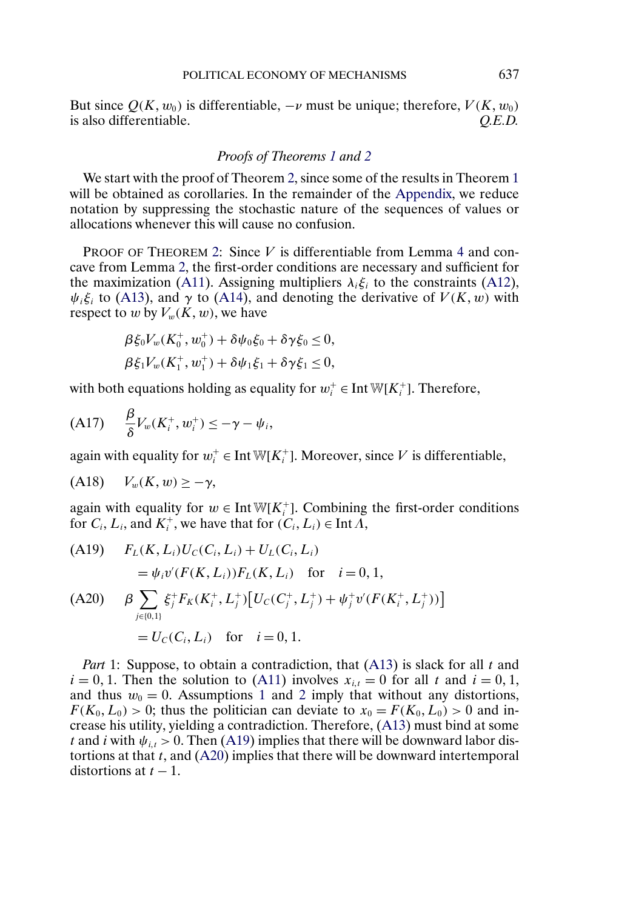<span id="page-18-0"></span>But since  $O(K, w_0)$  is differentiable,  $-v$  must be unique; therefore,  $V(K, w_0)$ is also differentiable. *Q.E.D.*

### *Proofs of Theorems [1](#page-8-0) and [2](#page-11-0)*

We start with the proof of Theorem [2,](#page-11-0) since some of the results in Theorem [1](#page-8-0) will be obtained as corollaries. In the remainder of the [Appendix,](#page-14-0) we reduce notation by suppressing the stochastic nature of the sequences of values or allocations whenever this will cause no confusion.

PROOF OF THEOREM [2:](#page-11-0) Since V is differentiable from Lemma [4](#page-17-0) and concave from Lemma [2,](#page-15-0) the first-order conditions are necessary and sufficient for the maximization [\(A11\)](#page-16-0). Assigning multipliers  $\lambda_i \xi_i$  to the constraints [\(A12\)](#page-16-0),  $\psi_i \xi_i$  to [\(A13\)](#page-16-0), and  $\gamma$  to [\(A14\)](#page-17-0), and denoting the derivative of  $V(K, w)$  with respect to w by  $V_w(K, w)$ , we have

$$
\begin{aligned} \beta \xi_0 V_w(K_0^+, w_0^+) + \delta \psi_0 \xi_0 + \delta \gamma \xi_0 &\leq 0, \\ \beta \xi_1 V_w(K_1^+, w_1^+) + \delta \psi_1 \xi_1 + \delta \gamma \xi_1 &\leq 0, \end{aligned}
$$

with both equations holding as equality for  $w_i^+ \in \text{Int } W[K_i^+]$ . Therefore,

$$
(A17) \qquad \frac{\beta}{\delta}V_w(K_i^+, w_i^+) \leq -\gamma - \psi_i,
$$

again with equality for  $w_i^+ \in \text{Int } W[K_i^+]$ . Moreover, since V is differentiable,

$$
(A18) \tV_w(K, w) \geq -\gamma,
$$

again with equality for  $w \in Int \mathbb{W}[K_i^+]$ . Combining the first-order conditions for  $C_i$ ,  $L_i$ , and  $K_i^+$ , we have that for  $(C_i, L_i) \in \text{Int } \tilde{\Lambda}$ ,

(A19) 
$$
F_L(K, L_i)U_C(C_i, L_i) + U_L(C_i, L_i)
$$
  
\t
$$
= \psi_i v'(F(K, L_i))F_L(K, L_i) \text{ for } i = 0, 1,
$$
  
(A20) 
$$
\beta \sum_{j \in \{0, 1\}} \xi_j^+ F_K(K_i^+, L_j^+) [U_C(C_j^+, L_j^+) + \psi_j^+ v'(F(K_i^+, L_j^+))]
$$
  
\t
$$
= U_C(C_i, L_i) \text{ for } i = 0, 1.
$$

*Part* 1: Suppose, to obtain a contradiction, that [\(A13\)](#page-16-0) is slack for all t and  $i = 0, 1$ . Then the solution to [\(A11\)](#page-16-0) involves  $x_{i,t} = 0$  for all t and  $i = 0, 1$ , and thus  $w_0 = 0$ . Assumptions [1](#page-2-0) and [2](#page-2-0) imply that without any distortions,  $F(K_0, L_0) > 0$ ; thus the politician can deviate to  $x_0 = F(K_0, L_0) > 0$  and increase his utility, yielding a contradiction. Therefore, [\(A13\)](#page-16-0) must bind at some t and i with  $\psi_{i,t} > 0$ . Then (A19) implies that there will be downward labor distortions at that  $t$ , and  $(A20)$  implies that there will be downward intertemporal distortions at  $t - 1$ .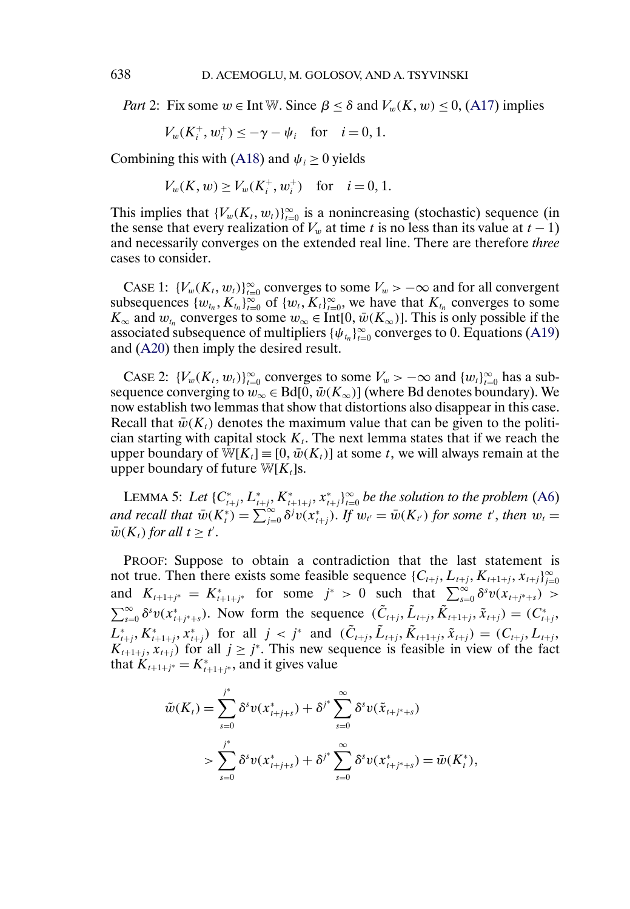<span id="page-19-0"></span>*Part* 2: Fix some  $w \in \text{Int } W$ . Since  $\beta \leq \delta$  and  $V_w(K, w) \leq 0$ , [\(A17\)](#page-18-0) implies

$$
V_w(K_i^+, w_i^+) \le -\gamma - \psi_i
$$
 for  $i = 0, 1$ .

Combining this with [\(A18\)](#page-18-0) and  $\psi_i \geq 0$  yields

 $V_w(K, w) \ge V_w(K_i^+, w_i^+)$  for  $i = 0, 1$ .

This implies that  $\{V_w(K_t, w_t)\}_{t=0}^{\infty}$  is a nonincreasing (stochastic) sequence (in the sense that every realization of  $V_w$  at time t is no less than its value at  $t - 1$ ) and necessarily converges on the extended real line. There are therefore *three* cases to consider.

CASE 1:  $\{V_w(K_t, w_t)\}_{t=0}^{\infty}$  converges to some  $V_w > -\infty$  and for all convergent subsequences  $\{w_{t_n}, K_{t_n}\}_{t=0}^{\infty}$  of  $\{w_t, K_t\}_{t=0}^{\infty}$ , we have that  $K_{t_n}$  converges to some  $K_{\infty}$  and  $w_{t_n}$  converges to some  $w_{\infty} \in \text{Int}[0, \bar{w}(K_{\infty})]$ . This is only possible if the associated subsequence of multipliers  $\{\psi_{t_n}\}_{t=0}^{\infty}$  converges to 0. Equations [\(A19\)](#page-18-0) and [\(A20\)](#page-18-0) then imply the desired result.

CASE 2:  $\{V_w(K_t, w_t)\}_{t=0}^{\infty}$  converges to some  $V_w > -\infty$  and  $\{w_t\}_{t=0}^{\infty}$  has a subsequence converging to  $w_{\infty} \in Bd[0, \bar{w}(K_{\infty})]$  (where Bd denotes boundary). We now establish two lemmas that show that distortions also disappear in this case. Recall that  $\bar{w}(K_t)$  denotes the maximum value that can be given to the politician starting with capital stock  $K_t$ . The next lemma states that if we reach the upper boundary of W[ $K_t$ ]≡[0,  $\bar{w}(K_t)$ ] at some t, we will always remain at the upper boundary of future  $W[K_t]$ s.

LEMMA 5: Let  $\{C^*_{t+j}, L^*_{t+j}, K^*_{t+1+j}, x^*_{t+j}\}_{t=0}^{\infty}$  be the solution to the problem [\(A6\)](#page-14-0) and recall that  $\bar{w}(K_t^*) = \sum_{j=0}^{\infty} \delta^j v(x_{t+j}^*)$ . If  $w_{t'} = \bar{w}(K_{t'})$  for some t', then  $w_t =$  $\bar{w}(K_t)$  for all  $t \geq t'$ .

PROOF: Suppose to obtain a contradiction that the last statement is not true. Then there exists some feasible sequence  $\{C_{t+j}, L_{t+j}, K_{t+1+j}, x_{t+j}\}_{j=0}^{\infty}$ and  $K_{t+1+j^*} = K_{t+1+j^*}^*$  for some  $j^* > 0$  such that  $\sum_{s=0}^{\infty} \delta^s v(x_{t+j^*+s}) >$  $\sum_{s=0}^{\infty} \delta^s v(x^*_{t+j^*+s})$ . Now form the sequence  $(\tilde{C}_{t+j}, \tilde{L}_{t+j}, \tilde{K}_{t+1+j}, \tilde{X}_{t+j}) = (C^*_{t+j},$  $L_{t+j}^*, K_{t+1+j}^*, x_{t+j}^*$ ) for all  $j < j^*$  and  $(\tilde{C}_{t+j}, \tilde{L}_{t+j}, \tilde{K}_{t+1+j}, \tilde{x}_{t+j}) = (C_{t+j}, L_{t+j},$  $K_{t+1+j}$ ,  $X_{t+j}$ ) for all  $j \geq j^*$ . This new sequence is feasible in view of the fact that  $K_{t+1+j^*} = K_{t+1+j^*}^*$ , and it gives value

$$
\tilde{w}(K_t) = \sum_{s=0}^{j^*} \delta^s v(x^*_{t+j+s}) + \delta^{j^*} \sum_{s=0}^{\infty} \delta^s v(\tilde{x}_{t+j^*+s}) \n> \sum_{s=0}^{j^*} \delta^s v(x^*_{t+j+s}) + \delta^{j^*} \sum_{s=0}^{\infty} \delta^s v(x^*_{t+j^*+s}) = \bar{w}(K_t^*),
$$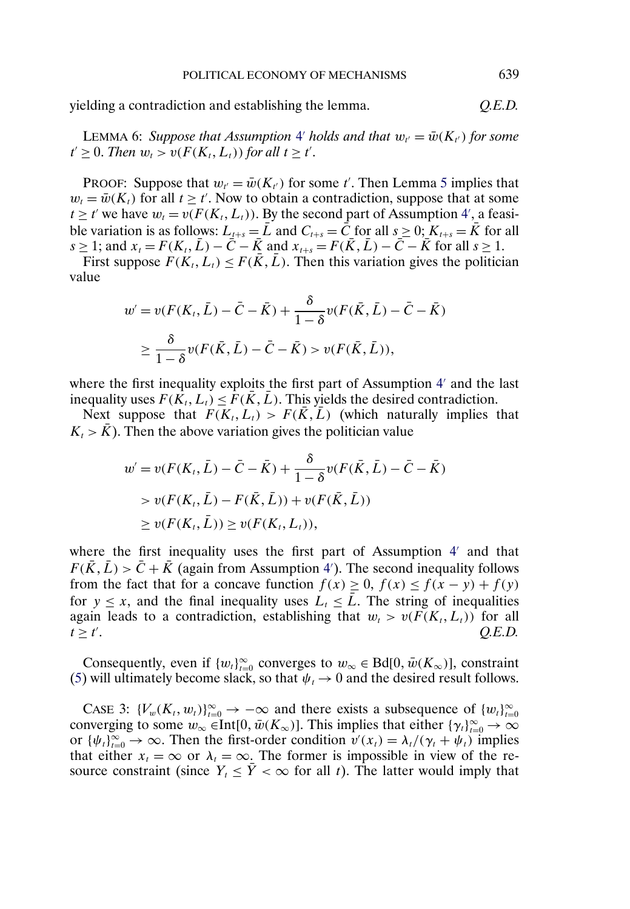<span id="page-20-0"></span>yielding a contradiction and establishing the lemma. *Q.E.D.*

LEMMA 6: *Suppose that Assumption* [4](#page-11-0)' *holds and that*  $w_{t'} = \bar{w}(K_{t'})$  *for some*  $t' \geq 0$ . *Then*  $w_t > v(F(K_t, L_t))$  *for all*  $t \geq t'$ .

PROOF: Suppose that  $w_{t'} = \bar{w}(K_{t'})$  for some t'. Then Lemma [5](#page-19-0) implies that  $w_t = \bar{w}(K_t)$  for all  $t \geq t'$ . Now to obtain a contradiction, suppose that at some  $t \ge t'$  we have  $w_t = v(F(K_t, L_t))$ . By the second part of Assumption [4](#page-11-0)', a feasible variation is as follows:  $L_{t+s} = \bar{L}$  and  $C_{t+s} = \bar{C}$  for all  $s \geq 0$ ;  $K_{t+s} = \bar{K}$  for all  $s \geq 1$ ; and  $x_t = F(K_t, \bar{L}) - \bar{C} - \bar{K}$  and  $x_{t+s} = F(\bar{K}, \bar{L}) - \bar{C} - \bar{K}$  for all  $s \geq 1$ .

First suppose  $F(K_t, L_t) \leq F(\overline{K}, \overline{L})$ . Then this variation gives the politician value

$$
w' = v(F(K_t, \bar{L}) - \bar{C} - \bar{K}) + \frac{\delta}{1 - \delta} v(F(\bar{K}, \bar{L}) - \bar{C} - \bar{K})
$$

$$
\geq \frac{\delta}{1 - \delta} v(F(\bar{K}, \bar{L}) - \bar{C} - \bar{K}) > v(F(\bar{K}, \bar{L})),
$$

where the first inequality exploits the first part of Assumption  $4'$  $4'$  and the last inequality uses  $F(K_t, L_t) \leq F(K, L)$ . This yields the desired contradiction.

Next suppose that  $F(K_t, L_t) > F(K, L)$  (which naturally implies that  $K_t > \bar{K}$ ). Then the above variation gives the politician value

$$
w' = v(F(K_t, \bar{L}) - \bar{C} - \bar{K}) + \frac{\delta}{1 - \delta} v(F(\bar{K}, \bar{L}) - \bar{C} - \bar{K})
$$
  
>  $v(F(K_t, \bar{L}) - F(\bar{K}, \bar{L})) + v(F(\bar{K}, \bar{L}))$   
 $\ge v(F(K_t, \bar{L})) \ge v(F(K_t, L_t)),$ 

where the first inequality uses the first part of Assumption  $4'$  $4'$  and that  $F(\bar{K}, \bar{L}) > \bar{C} + \bar{K}$  (again from Assumption [4](#page-11-0)'). The second inequality follows from the fact that for a concave function  $f(x) \ge 0$ ,  $f(x) \le f(x - y) + f(y)$ for  $y \leq x$ , and the final inequality uses  $L_t \leq \overline{L}$ . The string of inequalities again leads to a contradiction, establishing that  $w_t > v(F(K_t, L_t))$  for all  $t \ge t'$ . *O.E.D.*  $t > t'$ . . *Q.E.D.*

Consequently, even if  ${w_t}_{t=0}^{\infty}$  converges to  $w_{\infty} \in Bd[0, \bar{w}(K_{\infty})]$ , constraint [\(5\)](#page-5-0) will ultimately become slack, so that  $\psi_t \to 0$  and the desired result follows.

CASE 3:  $\{V_w(K_t, w_t)\}_{t=0}^{\infty} \to -\infty$  and there exists a subsequence of  $\{w_t\}_{t=0}^{\infty}$ converging to some  $w_{\infty} \in Int[0, \bar{w}(K_{\infty})]$ . This implies that either  $\{\gamma_t\}_{t=0}^{\infty} \to \infty$ or  $\{\psi_t\}_{t=0}^{\infty} \to \infty$ . Then the first-order condition  $v'(x_t) = \lambda_t/(\gamma_t + \psi_t)$  implies that either  $x_t = \infty$  or  $\lambda_t = \infty$ . The former is impossible in view of the resource constraint (since  $Y_t \leq \overline{Y} < \infty$  for all t). The latter would imply that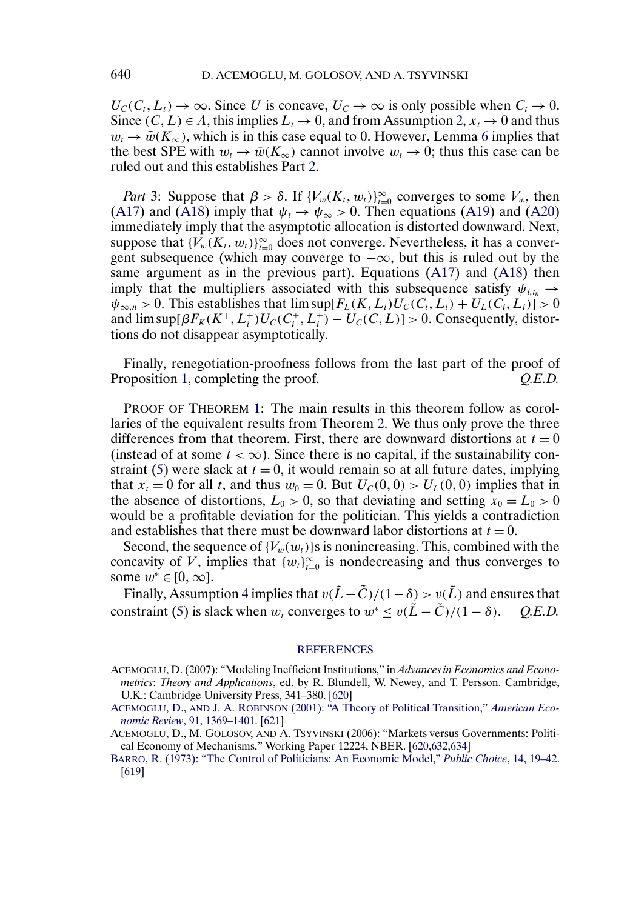<span id="page-21-0"></span> $U_c(C_t, L_t) \to \infty$ . Since U is concave,  $U_c \to \infty$  is only possible when  $C_t \to 0$ . Since  $(C, L) \in \Lambda$ , this implies  $L_t \to 0$ , and from Assumption [2,](#page-2-0)  $x_t \to 0$  and thus  $w_t \to \bar{w}(K_\infty)$ , which is in this case equal to 0. However, Lemma [6](#page-20-0) implies that the best SPE with  $w_t \to \bar{w}(K_\infty)$  cannot involve  $w_t \to 0$ ; thus this case can be ruled out and this establishes Part [2.](#page-19-0)

*Part* 3: Suppose that  $\beta > \delta$ . If  $\{V_w(K_t, w_t)\}_{t=0}^{\infty}$  converges to some  $V_w$ , then [\(A17\)](#page-18-0) and [\(A18\)](#page-18-0) imply that  $\psi_t \to \psi_\infty > 0$ . Then equations [\(A19\)](#page-18-0) and [\(A20\)](#page-18-0) immediately imply that the asymptotic allocation is distorted downward. Next, suppose that  $\{V_w(K_t, w_t)\}_{t=0}^{\infty}$  does not converge. Nevertheless, it has a convergent subsequence (which may converge to  $-\infty$ , but this is ruled out by the same argument as in the previous part). Equations [\(A17\)](#page-18-0) and [\(A18\)](#page-18-0) then imply that the multipliers associated with this subsequence satisfy  $\psi_{i,t_n} \rightarrow$  $\psi_{\infty,n} > 0$ . This establishes that  $\limsup [F_L(K, L_i)U_C(C_i, L_i) + U_L(C_i, L_i)] > 0$ and  $\limsup[\beta F_K(K^+, L_i^+)U_C(C_i^+, L_i^+)-U_C(C, L)] > 0$ . Consequently, distortions do not disappear asymptotically.

Finally, renegotiation-proofness follows from the last part of the proof of Proposition [1,](#page-6-0) completing the proof. *Q.E.D.*

PROOF OF THEOREM [1:](#page-8-0) The main results in this theorem follow as corollaries of the equivalent results from Theorem [2.](#page-11-0) We thus only prove the three differences from that theorem. First, there are downward distortions at  $t = 0$ (instead of at some  $t < \infty$ ). Since there is no capital, if the sustainability con-straint [\(5\)](#page-5-0) were slack at  $t = 0$ , it would remain so at all future dates, implying that  $x_t = 0$  for all t, and thus  $w_0 = 0$ . But  $U_c(0, 0) > U_c(0, 0)$  implies that in the absence of distortions,  $L_0 > 0$ , so that deviating and setting  $x_0 = L_0 > 0$ would be a profitable deviation for the politician. This yields a contradiction and establishes that there must be downward labor distortions at  $t = 0$ .

Second, the sequence of  ${V_w(w_t)}$ s is nonincreasing. This, combined with the concavity of V, implies that  $\{w_t\}_{t=0}^{\infty}$  is nondecreasing and thus converges to some  $w^* \in [0, \infty]$ .

Finally, Assumption [4](#page-8-0) implies that  $v(\tilde{L} - \tilde{C})/(1 - \delta) > v(\tilde{L})$  and ensures that constraint [\(5\)](#page-5-0) is slack when  $w_t$  converges to  $w^* \le v(\tilde{L} - \tilde{C})/(1 - \delta)$ . *Q.E.D.* 

#### **[REFERENCES](http://www.e-publications.org/srv/ecta/linkserver/setprefs?rfe_id=urn:sici%2F0012-9682%28200805%2976%3A3%3C619%3APEOM%3E2.0.CO%3B2-D)**

- ACEMOGLU, D. (2007): "Modeling Inefficient Institutions," in *Advances in Economics and Econometrics*: *Theory and Applications*, ed. by R. Blundell, W. Newey, and T. Persson. Cambridge, U.K.: Cambridge University Press, 341–380. [\[620\]](#page-1-0)
- ACEMOGLU, D., AND J. A. ROBINSON [\(2001\): "A Theory of Political Transition,"](http://www.e-publications.org/srv/ecta/linkserver/openurl?rft_dat=bib:2/AceRob2001&rfe_id=urn:sici%2F0012-9682%28200805%2976%3A3%3C619%3APEOM%3E2.0.CO%3B2-D) *American Economic Review*[, 91, 1369–1401.](http://www.e-publications.org/srv/ecta/linkserver/openurl?rft_dat=bib:2/AceRob2001&rfe_id=urn:sici%2F0012-9682%28200805%2976%3A3%3C619%3APEOM%3E2.0.CO%3B2-D) [\[621\]](#page-2-0)
- ACEMOGLU, D., M. GOLOSOV, AND A. TSYVINSKI (2006): "Markets versus Governments: Political Economy of Mechanisms," Working Paper 12224, NBER. [\[620,632,](#page-1-0)[634\]](#page-13-0)
- [BARRO, R. \(1973\): "The Control of Politicians: An Economic Model,"](http://www.e-publications.org/srv/ecta/linkserver/openurl?rft_dat=bib:4/Bar1973&rfe_id=urn:sici%2F0012-9682%28200805%2976%3A3%3C619%3APEOM%3E2.0.CO%3B2-D) *Public Choice*, 14, 19–42. [\[619\]](#page-0-0)